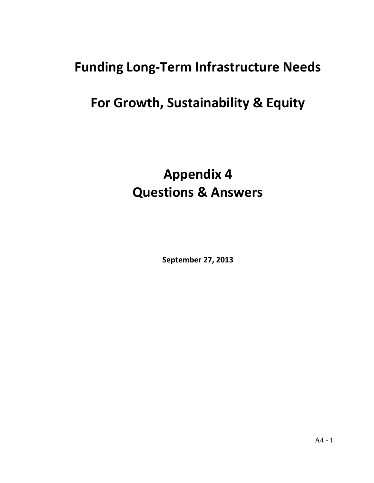# **Funding Long-Term Infrastructure Needs**

# **For Growth, Sustainability & Equity**

# **Appendix 4 Questions & Answers**

**September 27, 2013**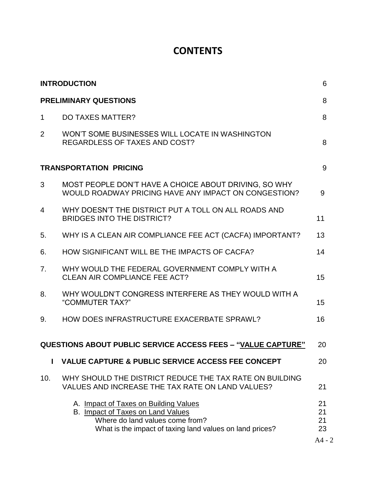### **CONTENTS**

| <b>INTRODUCTION</b><br><b>PRELIMINARY QUESTIONS</b> |                                                                                                                                                                           |                                  |
|-----------------------------------------------------|---------------------------------------------------------------------------------------------------------------------------------------------------------------------------|----------------------------------|
|                                                     |                                                                                                                                                                           |                                  |
| $\overline{2}$                                      | WON'T SOME BUSINESSES WILL LOCATE IN WASHINGTON<br><b>REGARDLESS OF TAXES AND COST?</b>                                                                                   | 8                                |
|                                                     | <b>TRANSPORTATION PRICING</b>                                                                                                                                             | 9                                |
| 3                                                   | MOST PEOPLE DON'T HAVE A CHOICE ABOUT DRIVING, SO WHY<br>WOULD ROADWAY PRICING HAVE ANY IMPACT ON CONGESTION?                                                             | 9                                |
| 4                                                   | WHY DOESN'T THE DISTRICT PUT A TOLL ON ALL ROADS AND<br><b>BRIDGES INTO THE DISTRICT?</b>                                                                                 | 11                               |
| 5.                                                  | WHY IS A CLEAN AIR COMPLIANCE FEE ACT (CACFA) IMPORTANT?                                                                                                                  | 13                               |
| 6.                                                  | HOW SIGNIFICANT WILL BE THE IMPACTS OF CACFA?                                                                                                                             | 14                               |
| 7.                                                  | WHY WOULD THE FEDERAL GOVERNMENT COMPLY WITH A<br><b>CLEAN AIR COMPLIANCE FEE ACT?</b>                                                                                    | 15                               |
| 8.                                                  | WHY WOULDN'T CONGRESS INTERFERE AS THEY WOULD WITH A<br>"COMMUTER TAX?"                                                                                                   | 15                               |
| 9.                                                  | HOW DOES INFRASTRUCTURE EXACERBATE SPRAWL?                                                                                                                                | 16                               |
|                                                     | <b>QUESTIONS ABOUT PUBLIC SERVICE ACCESS FEES - "VALUE CAPTURE"</b>                                                                                                       | 20                               |
|                                                     | <b>VALUE CAPTURE &amp; PUBLIC SERVICE ACCESS FEE CONCEPT</b>                                                                                                              | 20                               |
| 10.                                                 | WHY SHOULD THE DISTRICT REDUCE THE TAX RATE ON BUILDING<br>VALUES AND INCREASE THE TAX RATE ON LAND VALUES?                                                               | 21                               |
|                                                     | A. Impact of Taxes on Building Values<br>B. Impact of Taxes on Land Values<br>Where do land values come from?<br>What is the impact of taxing land values on land prices? | 21<br>21<br>21<br>23<br>$A4 - 2$ |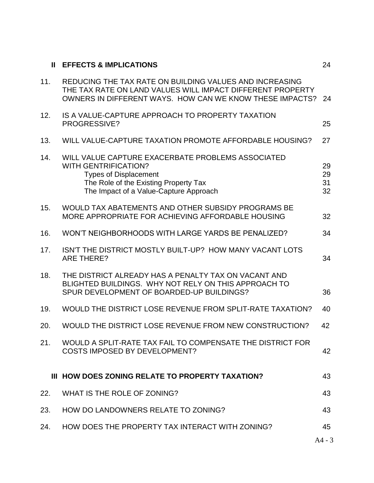| $\mathbf{H}$ | <b>EFFECTS &amp; IMPLICATIONS</b>                                                                                                                                                                   | 24                   |  |
|--------------|-----------------------------------------------------------------------------------------------------------------------------------------------------------------------------------------------------|----------------------|--|
| 11.          | REDUCING THE TAX RATE ON BUILDING VALUES AND INCREASING<br>THE TAX RATE ON LAND VALUES WILL IMPACT DIFFERENT PROPERTY<br>OWNERS IN DIFFERENT WAYS. HOW CAN WE KNOW THESE IMPACTS?                   |                      |  |
| 12.          | IS A VALUE-CAPTURE APPROACH TO PROPERTY TAXATION<br>PROGRESSIVE?                                                                                                                                    | 25                   |  |
| 13.          | WILL VALUE-CAPTURE TAXATION PROMOTE AFFORDABLE HOUSING?                                                                                                                                             |                      |  |
| 14.          | WILL VALUE CAPTURE EXACERBATE PROBLEMS ASSOCIATED<br><b>WITH GENTRIFICATION?</b><br><b>Types of Displacement</b><br>The Role of the Existing Property Tax<br>The Impact of a Value-Capture Approach | 29<br>29<br>31<br>32 |  |
| 15.          | WOULD TAX ABATEMENTS AND OTHER SUBSIDY PROGRAMS BE<br>MORE APPROPRIATE FOR ACHIEVING AFFORDABLE HOUSING                                                                                             | 32                   |  |
| 16.          | WON'T NEIGHBORHOODS WITH LARGE YARDS BE PENALIZED?                                                                                                                                                  | 34                   |  |
| 17.          | ISN'T THE DISTRICT MOSTLY BUILT-UP? HOW MANY VACANT LOTS<br><b>ARE THERE?</b>                                                                                                                       | 34                   |  |
| 18.          | THE DISTRICT ALREADY HAS A PENALTY TAX ON VACANT AND<br>BLIGHTED BUILDINGS. WHY NOT RELY ON THIS APPROACH TO<br>SPUR DEVELOPMENT OF BOARDED-UP BUILDINGS?                                           | 36                   |  |
| 19.          | WOULD THE DISTRICT LOSE REVENUE FROM SPLIT-RATE TAXATION?<br>40                                                                                                                                     |                      |  |
| 20.          | WOULD THE DISTRICT LOSE REVENUE FROM NEW CONSTRUCTION?                                                                                                                                              |                      |  |
| 21.          | WOULD A SPLIT-RATE TAX FAIL TO COMPENSATE THE DISTRICT FOR<br>COSTS IMPOSED BY DEVELOPMENT?                                                                                                         | 42                   |  |
|              | III HOW DOES ZONING RELATE TO PROPERTY TAXATION?                                                                                                                                                    | 43                   |  |
| 22.          | WHAT IS THE ROLE OF ZONING?                                                                                                                                                                         | 43                   |  |
| 23.          | HOW DO LANDOWNERS RELATE TO ZONING?                                                                                                                                                                 | 43                   |  |
| 24.          | HOW DOES THE PROPERTY TAX INTERACT WITH ZONING?                                                                                                                                                     | 45                   |  |
|              |                                                                                                                                                                                                     | $A4 - 3$             |  |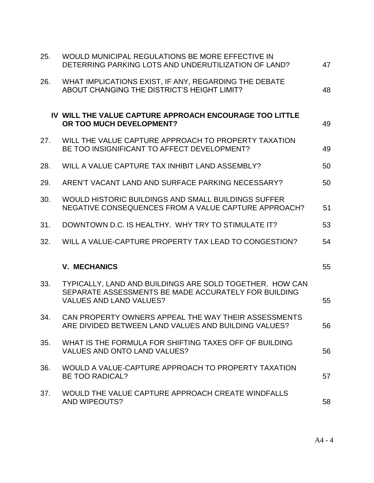| 25. | WOULD MUNICIPAL REGULATIONS BE MORE EFFECTIVE IN<br>DETERRING PARKING LOTS AND UNDERUTILIZATION OF LAND?                                           |    |
|-----|----------------------------------------------------------------------------------------------------------------------------------------------------|----|
| 26. | WHAT IMPLICATIONS EXIST, IF ANY, REGARDING THE DEBATE<br>ABOUT CHANGING THE DISTRICT'S HEIGHT LIMIT?                                               | 48 |
|     | IV WILL THE VALUE CAPTURE APPROACH ENCOURAGE TOO LITTLE<br>OR TOO MUCH DEVELOPMENT?                                                                | 49 |
| 27. | WILL THE VALUE CAPTURE APPROACH TO PROPERTY TAXATION<br>BE TOO INSIGNIFICANT TO AFFECT DEVELOPMENT?                                                | 49 |
| 28. | WILL A VALUE CAPTURE TAX INHIBIT LAND ASSEMBLY?                                                                                                    | 50 |
| 29. | AREN'T VACANT LAND AND SURFACE PARKING NECESSARY?                                                                                                  | 50 |
| 30. | WOULD HISTORIC BUILDINGS AND SMALL BUILDINGS SUFFER<br>NEGATIVE CONSEQUENCES FROM A VALUE CAPTURE APPROACH?                                        |    |
| 31. | DOWNTOWN D.C. IS HEALTHY. WHY TRY TO STIMULATE IT?                                                                                                 | 53 |
| 32. | WILL A VALUE-CAPTURE PROPERTY TAX LEAD TO CONGESTION?                                                                                              | 54 |
|     | <b>V. MECHANICS</b>                                                                                                                                | 55 |
| 33. | TYPICALLY, LAND AND BUILDINGS ARE SOLD TOGETHER. HOW CAN<br>SEPARATE ASSESSMENTS BE MADE ACCURATELY FOR BUILDING<br><b>VALUES AND LAND VALUES?</b> | 55 |
| 34. | CAN PROPERTY OWNERS APPEAL THE WAY THEIR ASSESSMENTS<br>ARE DIVIDED BETWEEN LAND VALUES AND BUILDING VALUES?                                       | 56 |
| 35. | WHAT IS THE FORMULA FOR SHIFTING TAXES OFF OF BUILDING<br><b>VALUES AND ONTO LAND VALUES?</b>                                                      | 56 |
| 36. | WOULD A VALUE-CAPTURE APPROACH TO PROPERTY TAXATION<br><b>BE TOO RADICAL?</b>                                                                      | 57 |
| 37. | WOULD THE VALUE CAPTURE APPROACH CREATE WINDFALLS<br>AND WIPEOUTS?                                                                                 | 58 |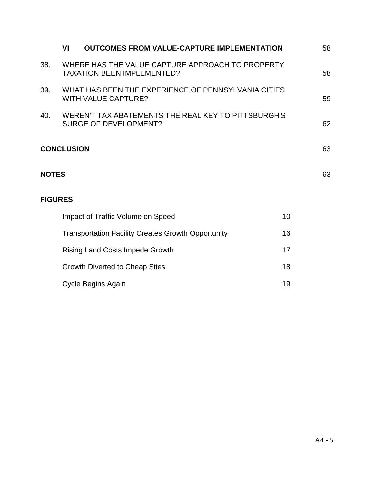|                | VI                                                                                    | <b>OUTCOMES FROM VALUE-CAPTURE IMPLEMENTATION</b>                                   |    | 58 |
|----------------|---------------------------------------------------------------------------------------|-------------------------------------------------------------------------------------|----|----|
| 38.            | WHERE HAS THE VALUE CAPTURE APPROACH TO PROPERTY<br><b>TAXATION BEEN IMPLEMENTED?</b> |                                                                                     |    | 58 |
| 39.            | WHAT HAS BEEN THE EXPERIENCE OF PENNSYLVANIA CITIES<br><b>WITH VALUE CAPTURE?</b>     |                                                                                     |    | 59 |
| 40.            |                                                                                       | WEREN'T TAX ABATEMENTS THE REAL KEY TO PITTSBURGH'S<br><b>SURGE OF DEVELOPMENT?</b> |    | 62 |
|                | <b>CONCLUSION</b>                                                                     |                                                                                     |    | 63 |
| <b>NOTES</b>   |                                                                                       |                                                                                     |    | 63 |
| <b>FIGURES</b> |                                                                                       |                                                                                     |    |    |
|                |                                                                                       | Impact of Traffic Volume on Speed                                                   | 10 |    |
|                |                                                                                       | <b>Transportation Facility Creates Growth Opportunity</b>                           | 16 |    |
|                |                                                                                       | <b>Rising Land Costs Impede Growth</b>                                              | 17 |    |
|                |                                                                                       | <b>Growth Diverted to Cheap Sites</b>                                               | 18 |    |
|                |                                                                                       | Cycle Begins Again                                                                  | 19 |    |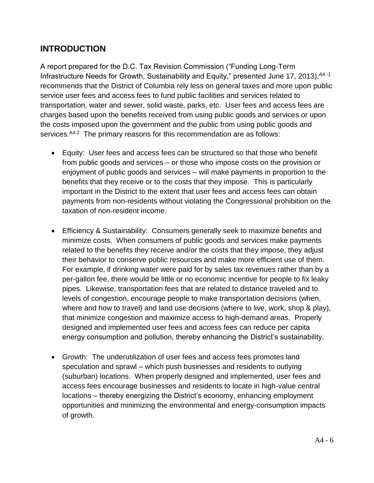#### **INTRODUCTION**

A report prepared for the D.C. Tax Revision Commission ("Funding Long-Term Infrastructure Needs for Growth, Sustainability and Equity," presented June 17, 2013),  $A4 - 1$ recommends that the District of Columbia rely less on general taxes and more upon public service user fees and access fees to fund public facilities and services related to transportation, water and sewer, solid waste, parks, etc. User fees and access fees are charges based upon the benefits received from using public goods and services or upon the costs imposed upon the government and the public from using public goods and services. <sup>A4-2</sup> The primary reasons for this recommendation are as follows:

- Equity: User fees and access fees can be structured so that those who benefit from public goods and services – or those who impose costs on the provision or enjoyment of public goods and services – will make payments in proportion to the benefits that they receive or to the costs that they impose. This is particularly important in the District to the extent that user fees and access fees can obtain payments from non-residents without violating the Congressional prohibition on the taxation of non-resident income.
- Efficiency & Sustainability: Consumers generally seek to maximize benefits and minimize costs. When consumers of public goods and services make payments related to the benefits they receive and/or the costs that they impose, they adjust their behavior to conserve public resources and make more efficient use of them. For example, if drinking water were paid for by sales tax revenues rather than by a per-gallon fee, there would be little or no economic incentive for people to fix leaky pipes. Likewise, transportation fees that are related to distance traveled and to levels of congestion, encourage people to make transportation decisions (when, where and how to travel) and land use decisions (where to live, work, shop & play), that minimize congestion and maximize access to high-demand areas. Properly designed and implemented user fees and access fees can reduce per capita energy consumption and pollution, thereby enhancing the District's sustainability.
- Growth: The underutilization of user fees and access fees promotes land speculation and sprawl – which push businesses and residents to outlying (suburban) locations. When properly designed and implemented, user fees and access fees encourage businesses and residents to locate in high-value central locations – thereby energizing the District's economy, enhancing employment opportunities and minimizing the environmental and energy-consumption impacts of growth.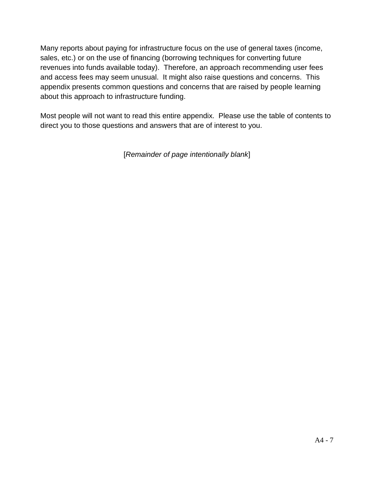Many reports about paying for infrastructure focus on the use of general taxes (income, sales, etc.) or on the use of financing (borrowing techniques for converting future revenues into funds available today). Therefore, an approach recommending user fees and access fees may seem unusual. It might also raise questions and concerns. This appendix presents common questions and concerns that are raised by people learning about this approach to infrastructure funding.

Most people will not want to read this entire appendix. Please use the table of contents to direct you to those questions and answers that are of interest to you.

[*Remainder of page intentionally blank*]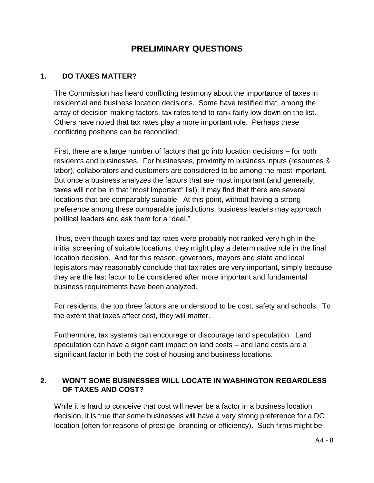#### **PRELIMINARY QUESTIONS**

#### **1. DO TAXES MATTER?**

The Commission has heard conflicting testimony about the importance of taxes in residential and business location decisions. Some have testified that, among the array of decision-making factors, tax rates tend to rank fairly low down on the list. Others have noted that tax rates play a more important role. Perhaps these conflicting positions can be reconciled:

First, there are a large number of factors that go into location decisions – for both residents and businesses. For businesses, proximity to business inputs (resources & labor), collaborators and customers are considered to be among the most important. But once a business analyzes the factors that are most important (and generally, taxes will not be in that "most important" list), it may find that there are several locations that are comparably suitable. At this point, without having a strong preference among these comparable jurisdictions, business leaders may approach political leaders and ask them for a "deal."

Thus, even though taxes and tax rates were probably not ranked very high in the initial screening of suitable locations, they might play a determinative role in the final location decision. And for this reason, governors, mayors and state and local legislators may reasonably conclude that tax rates are very important, simply because they are the last factor to be considered after more important and fundamental business requirements have been analyzed.

For residents, the top three factors are understood to be cost, safety and schools. To the extent that taxes affect cost, they will matter.

Furthermore, tax systems can encourage or discourage land speculation. Land speculation can have a significant impact on land costs – and land costs are a significant factor in both the cost of housing and business locations.

#### **2. WON'T SOME BUSINESSES WILL LOCATE IN WASHINGTON REGARDLESS OF TAXES AND COST?**

While it is hard to conceive that cost will never be a factor in a business location decision, it is true that some businesses will have a very strong preference for a DC location (often for reasons of prestige, branding or efficiency). Such firms might be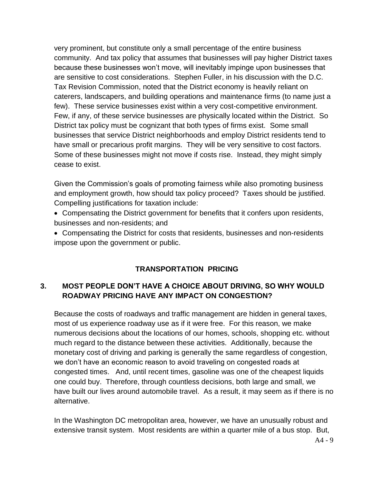very prominent, but constitute only a small percentage of the entire business community. And tax policy that assumes that businesses will pay higher District taxes because these businesses won't move, will inevitably impinge upon businesses that are sensitive to cost considerations. Stephen Fuller, in his discussion with the D.C. Tax Revision Commission, noted that the District economy is heavily reliant on caterers, landscapers, and building operations and maintenance firms (to name just a few). These service businesses exist within a very cost-competitive environment. Few, if any, of these service businesses are physically located within the District. So District tax policy must be cognizant that both types of firms exist. Some small businesses that service District neighborhoods and employ District residents tend to have small or precarious profit margins. They will be very sensitive to cost factors. Some of these businesses might not move if costs rise. Instead, they might simply cease to exist.

Given the Commission's goals of promoting fairness while also promoting business and employment growth, how should tax policy proceed? Taxes should be justified. Compelling justifications for taxation include:

- Compensating the District government for benefits that it confers upon residents, businesses and non-residents; and
- Compensating the District for costs that residents, businesses and non-residents impose upon the government or public.

#### **TRANSPORTATION PRICING**

#### **3. MOST PEOPLE DON'T HAVE A CHOICE ABOUT DRIVING, SO WHY WOULD ROADWAY PRICING HAVE ANY IMPACT ON CONGESTION?**

Because the costs of roadways and traffic management are hidden in general taxes, most of us experience roadway use as if it were free. For this reason, we make numerous decisions about the locations of our homes, schools, shopping etc. without much regard to the distance between these activities. Additionally, because the monetary cost of driving and parking is generally the same regardless of congestion, we don't have an economic reason to avoid traveling on congested roads at congested times. And, until recent times, gasoline was one of the cheapest liquids one could buy. Therefore, through countless decisions, both large and small, we have built our lives around automobile travel. As a result, it may seem as if there is no alternative.

In the Washington DC metropolitan area, however, we have an unusually robust and extensive transit system. Most residents are within a quarter mile of a bus stop. But,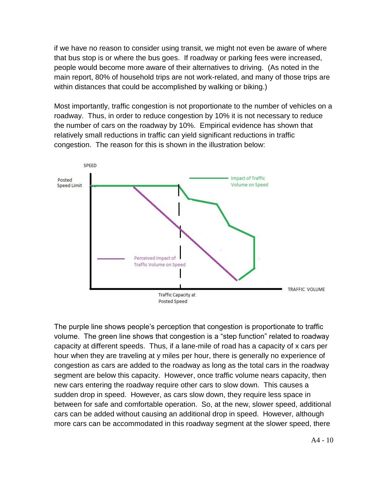if we have no reason to consider using transit, we might not even be aware of where that bus stop is or where the bus goes. If roadway or parking fees were increased, people would become more aware of their alternatives to driving. (As noted in the main report, 80% of household trips are not work-related, and many of those trips are within distances that could be accomplished by walking or biking.)

Most importantly, traffic congestion is not proportionate to the number of vehicles on a roadway. Thus, in order to reduce congestion by 10% it is not necessary to reduce the number of cars on the roadway by 10%. Empirical evidence has shown that relatively small reductions in traffic can yield significant reductions in traffic congestion. The reason for this is shown in the illustration below:



The purple line shows people's perception that congestion is proportionate to traffic volume. The green line shows that congestion is a "step function" related to roadway capacity at different speeds. Thus, if a lane-mile of road has a capacity of x cars per hour when they are traveling at y miles per hour, there is generally no experience of congestion as cars are added to the roadway as long as the total cars in the roadway segment are below this capacity. However, once traffic volume nears capacity, then new cars entering the roadway require other cars to slow down. This causes a sudden drop in speed. However, as cars slow down, they require less space in between for safe and comfortable operation. So, at the new, slower speed, additional cars can be added without causing an additional drop in speed. However, although more cars can be accommodated in this roadway segment at the slower speed, there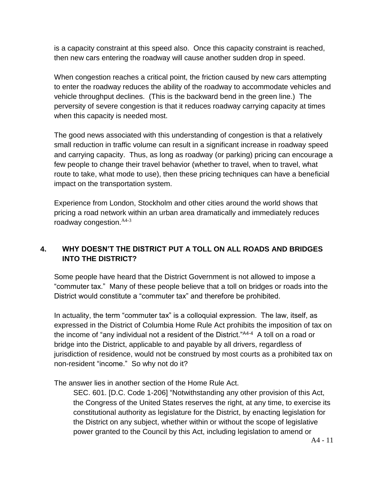is a capacity constraint at this speed also. Once this capacity constraint is reached, then new cars entering the roadway will cause another sudden drop in speed.

When congestion reaches a critical point, the friction caused by new cars attempting to enter the roadway reduces the ability of the roadway to accommodate vehicles and vehicle throughput declines. (This is the backward bend in the green line.) The perversity of severe congestion is that it reduces roadway carrying capacity at times when this capacity is needed most.

The good news associated with this understanding of congestion is that a relatively small reduction in traffic volume can result in a significant increase in roadway speed and carrying capacity. Thus, as long as roadway (or parking) pricing can encourage a few people to change their travel behavior (whether to travel, when to travel, what route to take, what mode to use), then these pricing techniques can have a beneficial impact on the transportation system.

Experience from London, Stockholm and other cities around the world shows that pricing a road network within an urban area dramatically and immediately reduces roadway congestion.  $A4-3$ 

#### **4. WHY DOESN'T THE DISTRICT PUT A TOLL ON ALL ROADS AND BRIDGES INTO THE DISTRICT?**

Some people have heard that the District Government is not allowed to impose a "commuter tax." Many of these people believe that a toll on bridges or roads into the District would constitute a "commuter tax" and therefore be prohibited.

In actuality, the term "commuter tax" is a colloquial expression. The law, itself, as expressed in the District of Columbia Home Rule Act prohibits the imposition of tax on the income of "any individual not a resident of the District."<sup>A4-4</sup> A toll on a road or bridge into the District, applicable to and payable by all drivers, regardless of jurisdiction of residence, would not be construed by most courts as a prohibited tax on non-resident "income." So why not do it?

The answer lies in another section of the Home Rule Act.

SEC. 601. [D.C. Code 1-206] "Notwithstanding any other provision of this Act, the Congress of the United States reserves the right, at any time, to exercise its constitutional authority as legislature for the District, by enacting legislation for the District on any subject, whether within or without the scope of legislative power granted to the Council by this Act, including legislation to amend or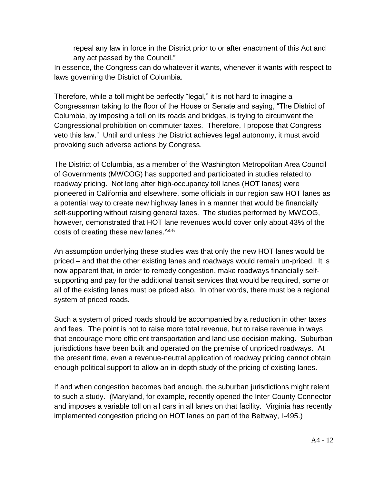repeal any law in force in the District prior to or after enactment of this Act and any act passed by the Council."

In essence, the Congress can do whatever it wants, whenever it wants with respect to laws governing the District of Columbia.

Therefore, while a toll might be perfectly "legal," it is not hard to imagine a Congressman taking to the floor of the House or Senate and saying, "The District of Columbia, by imposing a toll on its roads and bridges, is trying to circumvent the Congressional prohibition on commuter taxes. Therefore, I propose that Congress veto this law." Until and unless the District achieves legal autonomy, it must avoid provoking such adverse actions by Congress.

The District of Columbia, as a member of the Washington Metropolitan Area Council of Governments (MWCOG) has supported and participated in studies related to roadway pricing. Not long after high-occupancy toll lanes (HOT lanes) were pioneered in California and elsewhere, some officials in our region saw HOT lanes as a potential way to create new highway lanes in a manner that would be financially self-supporting without raising general taxes. The studies performed by MWCOG, however, demonstrated that HOT lane revenues would cover only about 43% of the costs of creating these new lanes. A4-5

An assumption underlying these studies was that only the new HOT lanes would be priced – and that the other existing lanes and roadways would remain un-priced. It is now apparent that, in order to remedy congestion, make roadways financially selfsupporting and pay for the additional transit services that would be required, some or all of the existing lanes must be priced also. In other words, there must be a regional system of priced roads.

Such a system of priced roads should be accompanied by a reduction in other taxes and fees. The point is not to raise more total revenue, but to raise revenue in ways that encourage more efficient transportation and land use decision making. Suburban jurisdictions have been built and operated on the premise of unpriced roadways. At the present time, even a revenue-neutral application of roadway pricing cannot obtain enough political support to allow an in-depth study of the pricing of existing lanes.

If and when congestion becomes bad enough, the suburban jurisdictions might relent to such a study. (Maryland, for example, recently opened the Inter-County Connector and imposes a variable toll on all cars in all lanes on that facility. Virginia has recently implemented congestion pricing on HOT lanes on part of the Beltway, I-495.)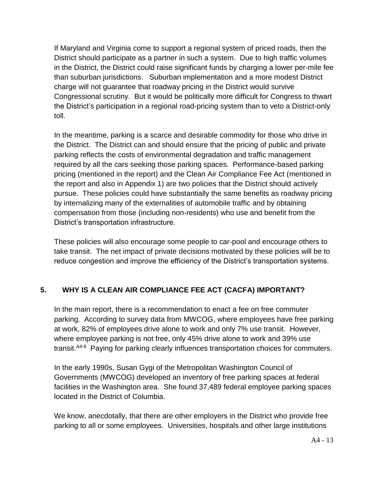If Maryland and Virginia come to support a regional system of priced roads, then the District should participate as a partner in such a system. Due to high traffic volumes in the District, the District could raise significant funds by charging a lower per-mile fee than suburban jurisdictions. Suburban implementation and a more modest District charge will not guarantee that roadway pricing in the District would survive Congressional scrutiny. But it would be politically more difficult for Congress to thwart the District's participation in a regional road-pricing system than to veto a District-only toll.

In the meantime, parking is a scarce and desirable commodity for those who drive in the District. The District can and should ensure that the pricing of public and private parking reflects the costs of environmental degradation and traffic management required by all the cars seeking those parking spaces. Performance-based parking pricing (mentioned in the report) and the Clean Air Compliance Fee Act (mentioned in the report and also in Appendix 1) are two policies that the District should actively pursue. These policies could have substantially the same benefits as roadway pricing by internalizing many of the externalities of automobile traffic and by obtaining compensation from those (including non-residents) who use and benefit from the District's transportation infrastructure.

These policies will also encourage some people to car-pool and encourage others to take transit. The net impact of private decisions motivated by these policies will be to reduce congestion and improve the efficiency of the District's transportation systems.

#### **5. WHY IS A CLEAN AIR COMPLIANCE FEE ACT (CACFA) IMPORTANT?**

In the main report, there is a recommendation to enact a fee on free commuter parking. According to survey data from MWCOG, where employees have free parking at work, 82% of employees drive alone to work and only 7% use transit. However, where employee parking is not free, only 45% drive alone to work and 39% use transit.<sup>A4-6</sup> Paying for parking clearly influences transportation choices for commuters.

In the early 1990s, Susan Gygi of the Metropolitan Washington Council of Governments (MWCOG) developed an inventory of free parking spaces at federal facilities in the Washington area. She found 37,489 federal employee parking spaces located in the District of Columbia.

We know, anecdotally, that there are other employers in the District who provide free parking to all or some employees. Universities, hospitals and other large institutions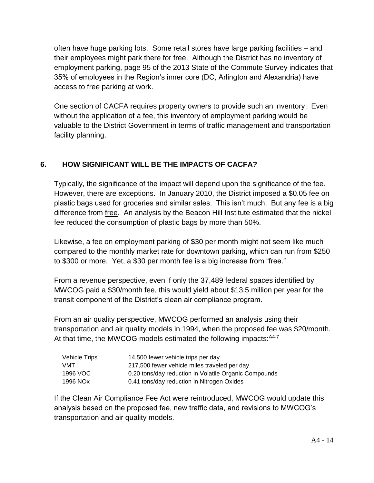often have huge parking lots. Some retail stores have large parking facilities – and their employees might park there for free. Although the District has no inventory of employment parking, page 95 of the 2013 State of the Commute Survey indicates that 35% of employees in the Region's inner core (DC, Arlington and Alexandria) have access to free parking at work.

One section of CACFA requires property owners to provide such an inventory. Even without the application of a fee, this inventory of employment parking would be valuable to the District Government in terms of traffic management and transportation facility planning.

#### **6. HOW SIGNIFICANT WILL BE THE IMPACTS OF CACFA?**

Typically, the significance of the impact will depend upon the significance of the fee. However, there are exceptions. In January 2010, the District imposed a \$0.05 fee on plastic bags used for groceries and similar sales. This isn't much. But any fee is a big difference from free. An analysis by the Beacon Hill Institute estimated that the nickel fee reduced the consumption of plastic bags by more than 50%.

Likewise, a fee on employment parking of \$30 per month might not seem like much compared to the monthly market rate for downtown parking, which can run from \$250 to \$300 or more. Yet, a \$30 per month fee is a big increase from "free."

From a revenue perspective, even if only the 37,489 federal spaces identified by MWCOG paid a \$30/month fee, this would yield about \$13.5 million per year for the transit component of the District's clean air compliance program.

From an air quality perspective, MWCOG performed an analysis using their transportation and air quality models in 1994, when the proposed fee was \$20/month. At that time, the MWCOG models estimated the following impacts: <sup>A4-7</sup>

| <b>Vehicle Trips</b> | 14,500 fewer vehicle trips per day                    |
|----------------------|-------------------------------------------------------|
| <b>VMT</b>           | 217,500 fewer vehicle miles traveled per day          |
| 1996 VOC             | 0.20 tons/day reduction in Volatile Organic Compounds |
| 1996 NOx             | 0.41 tons/day reduction in Nitrogen Oxides            |

If the Clean Air Compliance Fee Act were reintroduced, MWCOG would update this analysis based on the proposed fee, new traffic data, and revisions to MWCOG's transportation and air quality models.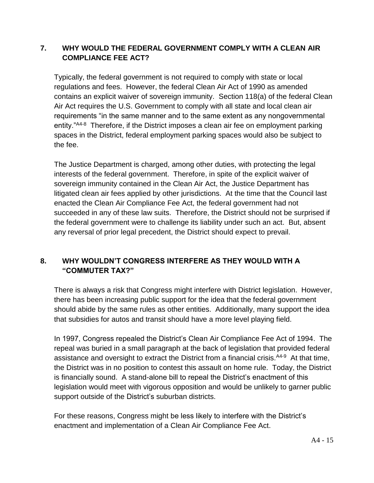#### **7. WHY WOULD THE FEDERAL GOVERNMENT COMPLY WITH A CLEAN AIR COMPLIANCE FEE ACT?**

Typically, the federal government is not required to comply with state or local regulations and fees. However, the federal Clean Air Act of 1990 as amended contains an explicit waiver of sovereign immunity. Section 118(a) of the federal Clean Air Act requires the U.S. Government to comply with all state and local clean air requirements "in the same manner and to the same extent as any nongovernmental entity."<sup>A4-8</sup> Therefore, if the District imposes a clean air fee on employment parking spaces in the District, federal employment parking spaces would also be subject to the fee.

The Justice Department is charged, among other duties, with protecting the legal interests of the federal government. Therefore, in spite of the explicit waiver of sovereign immunity contained in the Clean Air Act, the Justice Department has litigated clean air fees applied by other jurisdictions. At the time that the Council last enacted the Clean Air Compliance Fee Act, the federal government had not succeeded in any of these law suits. Therefore, the District should not be surprised if the federal government were to challenge its liability under such an act. But, absent any reversal of prior legal precedent, the District should expect to prevail.

#### **8. WHY WOULDN'T CONGRESS INTERFERE AS THEY WOULD WITH A "COMMUTER TAX?"**

There is always a risk that Congress might interfere with District legislation. However, there has been increasing public support for the idea that the federal government should abide by the same rules as other entities. Additionally, many support the idea that subsidies for autos and transit should have a more level playing field.

In 1997, Congress repealed the District's Clean Air Compliance Fee Act of 1994. The repeal was buried in a small paragraph at the back of legislation that provided federal assistance and oversight to extract the District from a financial crisis.<sup>A4-9</sup> At that time, the District was in no position to contest this assault on home rule. Today, the District is financially sound. A stand-alone bill to repeal the District's enactment of this legislation would meet with vigorous opposition and would be unlikely to garner public support outside of the District's suburban districts.

For these reasons, Congress might be less likely to interfere with the District's enactment and implementation of a Clean Air Compliance Fee Act.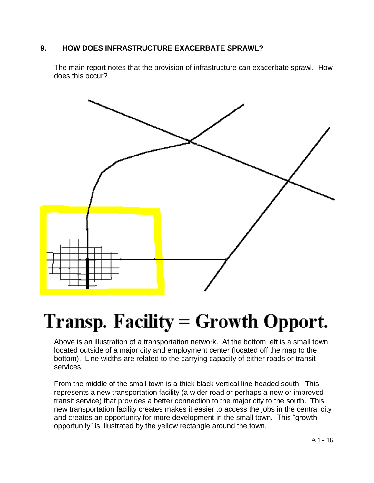#### **9. HOW DOES INFRASTRUCTURE EXACERBATE SPRAWL?**

The main report notes that the provision of infrastructure can exacerbate sprawl. How does this occur?



# Transp. Facility = Growth Opport.

Above is an illustration of a transportation network. At the bottom left is a small town located outside of a major city and employment center (located off the map to the bottom). Line widths are related to the carrying capacity of either roads or transit services.

From the middle of the small town is a thick black vertical line headed south. This represents a new transportation facility (a wider road or perhaps a new or improved transit service) that provides a better connection to the major city to the south. This new transportation facility creates makes it easier to access the jobs in the central city and creates an opportunity for more development in the small town. This "growth opportunity" is illustrated by the yellow rectangle around the town.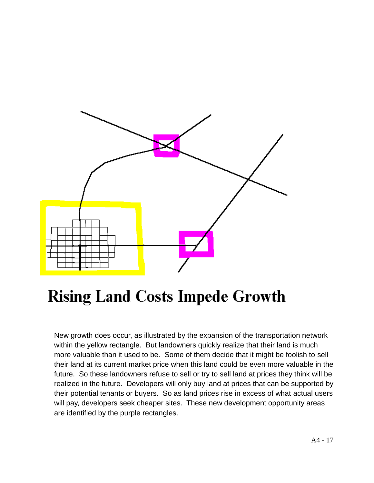

# **Rising Land Costs Impede Growth**

New growth does occur, as illustrated by the expansion of the transportation network within the yellow rectangle. But landowners quickly realize that their land is much more valuable than it used to be. Some of them decide that it might be foolish to sell their land at its current market price when this land could be even more valuable in the future. So these landowners refuse to sell or try to sell land at prices they think will be realized in the future. Developers will only buy land at prices that can be supported by their potential tenants or buyers. So as land prices rise in excess of what actual users will pay, developers seek cheaper sites. These new development opportunity areas are identified by the purple rectangles.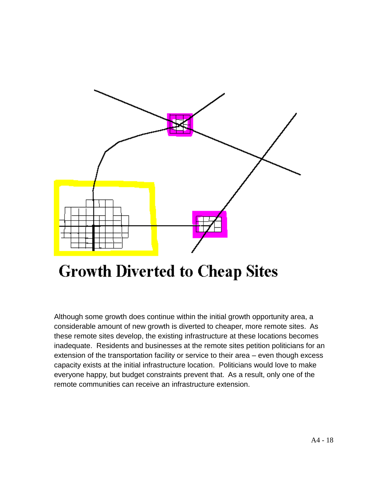

# **Growth Diverted to Cheap Sites**

Although some growth does continue within the initial growth opportunity area, a considerable amount of new growth is diverted to cheaper, more remote sites. As these remote sites develop, the existing infrastructure at these locations becomes inadequate. Residents and businesses at the remote sites petition politicians for an extension of the transportation facility or service to their area – even though excess capacity exists at the initial infrastructure location. Politicians would love to make everyone happy, but budget constraints prevent that. As a result, only one of the remote communities can receive an infrastructure extension.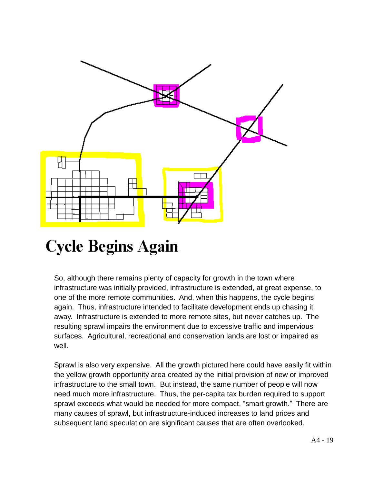

# **Cycle Begins Again**

So, although there remains plenty of capacity for growth in the town where infrastructure was initially provided, infrastructure is extended, at great expense, to one of the more remote communities. And, when this happens, the cycle begins again. Thus, infrastructure intended to facilitate development ends up chasing it away. Infrastructure is extended to more remote sites, but never catches up. The resulting sprawl impairs the environment due to excessive traffic and impervious surfaces. Agricultural, recreational and conservation lands are lost or impaired as well.

Sprawl is also very expensive. All the growth pictured here could have easily fit within the yellow growth opportunity area created by the initial provision of new or improved infrastructure to the small town. But instead, the same number of people will now need much more infrastructure. Thus, the per-capita tax burden required to support sprawl exceeds what would be needed for more compact, "smart growth." There are many causes of sprawl, but infrastructure-induced increases to land prices and subsequent land speculation are significant causes that are often overlooked.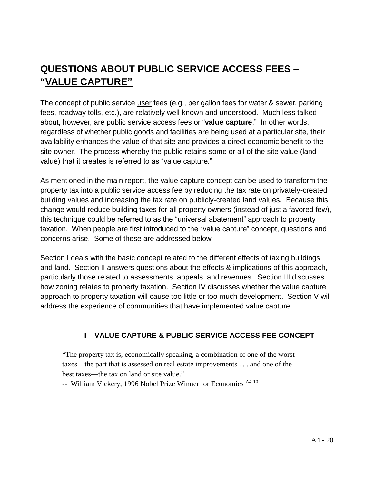### **QUESTIONS ABOUT PUBLIC SERVICE ACCESS FEES – "VALUE CAPTURE"**

The concept of public service user fees (e.g., per gallon fees for water & sewer, parking fees, roadway tolls, etc.), are relatively well-known and understood. Much less talked about, however, are public service access fees or "**value capture**." In other words, regardless of whether public goods and facilities are being used at a particular site, their availability enhances the value of that site and provides a direct economic benefit to the site owner. The process whereby the public retains some or all of the site value (land value) that it creates is referred to as "value capture."

As mentioned in the main report, the value capture concept can be used to transform the property tax into a public service access fee by reducing the tax rate on privately-created building values and increasing the tax rate on publicly-created land values. Because this change would reduce building taxes for all property owners (instead of just a favored few), this technique could be referred to as the "universal abatement" approach to property taxation. When people are first introduced to the "value capture" concept, questions and concerns arise. Some of these are addressed below.

Section I deals with the basic concept related to the different effects of taxing buildings and land. Section II answers questions about the effects & implications of this approach, particularly those related to assessments, appeals, and revenues. Section III discusses how zoning relates to property taxation. Section IV discusses whether the value capture approach to property taxation will cause too little or too much development. Section V will address the experience of communities that have implemented value capture.

#### **I VALUE CAPTURE & PUBLIC SERVICE ACCESS FEE CONCEPT**

"The property tax is, economically speaking, a combination of one of the worst taxes—the part that is assessed on real estate improvements . . . and one of the best taxes—the tax on land or site value."

-- William Vickery, 1996 Nobel Prize Winner for Economics <sup>A4-10</sup>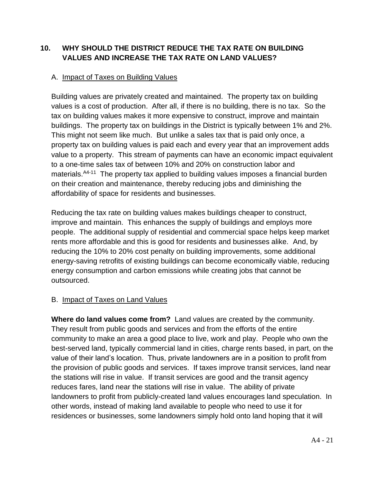#### **10. WHY SHOULD THE DISTRICT REDUCE THE TAX RATE ON BUILDING VALUES AND INCREASE THE TAX RATE ON LAND VALUES?**

#### A. Impact of Taxes on Building Values

Building values are privately created and maintained. The property tax on building values is a cost of production. After all, if there is no building, there is no tax. So the tax on building values makes it more expensive to construct, improve and maintain buildings. The property tax on buildings in the District is typically between 1% and 2%. This might not seem like much. But unlike a sales tax that is paid only once, a property tax on building values is paid each and every year that an improvement adds value to a property. This stream of payments can have an economic impact equivalent to a one-time sales tax of between 10% and 20% on construction labor and materials.<sup>A4-11</sup> The property tax applied to building values imposes a financial burden on their creation and maintenance, thereby reducing jobs and diminishing the affordability of space for residents and businesses.

Reducing the tax rate on building values makes buildings cheaper to construct, improve and maintain. This enhances the supply of buildings and employs more people. The additional supply of residential and commercial space helps keep market rents more affordable and this is good for residents and businesses alike. And, by reducing the 10% to 20% cost penalty on building improvements, some additional energy-saving retrofits of existing buildings can become economically viable, reducing energy consumption and carbon emissions while creating jobs that cannot be outsourced.

#### B. Impact of Taxes on Land Values

**Where do land values come from?** Land values are created by the community. They result from public goods and services and from the efforts of the entire community to make an area a good place to live, work and play. People who own the best-served land, typically commercial land in cities, charge rents based, in part, on the value of their land's location. Thus, private landowners are in a position to profit from the provision of public goods and services. If taxes improve transit services, land near the stations will rise in value. If transit services are good and the transit agency reduces fares, land near the stations will rise in value. The ability of private landowners to profit from publicly-created land values encourages land speculation. In other words, instead of making land available to people who need to use it for residences or businesses, some landowners simply hold onto land hoping that it will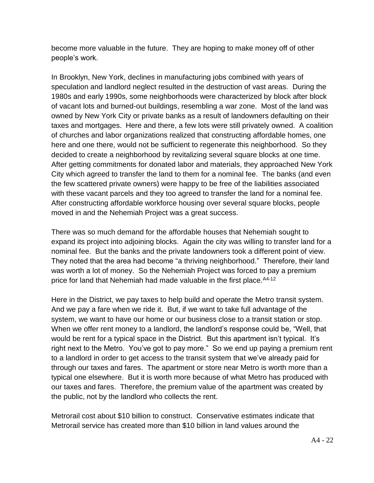become more valuable in the future. They are hoping to make money off of other people's work.

In Brooklyn, New York, declines in manufacturing jobs combined with years of speculation and landlord neglect resulted in the destruction of vast areas. During the 1980s and early 1990s, some neighborhoods were characterized by block after block of vacant lots and burned-out buildings, resembling a war zone. Most of the land was owned by New York City or private banks as a result of landowners defaulting on their taxes and mortgages. Here and there, a few lots were still privately owned. A coalition of churches and labor organizations realized that constructing affordable homes, one here and one there, would not be sufficient to regenerate this neighborhood. So they decided to create a neighborhood by revitalizing several square blocks at one time. After getting commitments for donated labor and materials, they approached New York City which agreed to transfer the land to them for a nominal fee. The banks (and even the few scattered private owners) were happy to be free of the liabilities associated with these vacant parcels and they too agreed to transfer the land for a nominal fee. After constructing affordable workforce housing over several square blocks, people moved in and the Nehemiah Project was a great success.

There was so much demand for the affordable houses that Nehemiah sought to expand its project into adjoining blocks. Again the city was willing to transfer land for a nominal fee. But the banks and the private landowners took a different point of view. They noted that the area had become "a thriving neighborhood." Therefore, their land was worth a lot of money. So the Nehemiah Project was forced to pay a premium price for land that Nehemiah had made valuable in the first place. A4-12

Here in the District, we pay taxes to help build and operate the Metro transit system. And we pay a fare when we ride it. But, if we want to take full advantage of the system, we want to have our home or our business close to a transit station or stop. When we offer rent money to a landlord, the landlord's response could be, "Well, that would be rent for a typical space in the District. But this apartment isn't typical. It's right next to the Metro. You've got to pay more." So we end up paying a premium rent to a landlord in order to get access to the transit system that we've already paid for through our taxes and fares. The apartment or store near Metro is worth more than a typical one elsewhere. But it is worth more because of what Metro has produced with our taxes and fares. Therefore, the premium value of the apartment was created by the public, not by the landlord who collects the rent.

Metrorail cost about \$10 billion to construct. Conservative estimates indicate that Metrorail service has created more than \$10 billion in land values around the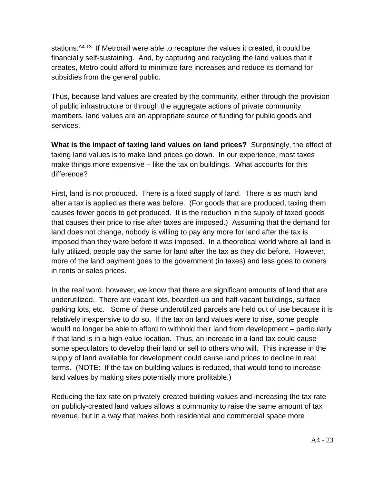stations.<sup>A4-13</sup> If Metrorail were able to recapture the values it created, it could be financially self-sustaining. And, by capturing and recycling the land values that it creates, Metro could afford to minimize fare increases and reduce its demand for subsidies from the general public.

Thus, because land values are created by the community, either through the provision of public infrastructure or through the aggregate actions of private community members, land values are an appropriate source of funding for public goods and services.

**What is the impact of taxing land values on land prices?** Surprisingly, the effect of taxing land values is to make land prices go down. In our experience, most taxes make things more expensive – like the tax on buildings. What accounts for this difference?

First, land is not produced. There is a fixed supply of land. There is as much land after a tax is applied as there was before. (For goods that are produced, taxing them causes fewer goods to get produced. It is the reduction in the supply of taxed goods that causes their price to rise after taxes are imposed.) Assuming that the demand for land does not change, nobody is willing to pay any more for land after the tax is imposed than they were before it was imposed. In a theoretical world where all land is fully utilized, people pay the same for land after the tax as they did before. However, more of the land payment goes to the government (in taxes) and less goes to owners in rents or sales prices.

In the real word, however, we know that there are significant amounts of land that are underutilized. There are vacant lots, boarded-up and half-vacant buildings, surface parking lots, etc. Some of these underutilized parcels are held out of use because it is relatively inexpensive to do so. If the tax on land values were to rise, some people would no longer be able to afford to withhold their land from development – particularly if that land is in a high-value location. Thus, an increase in a land tax could cause some speculators to develop their land or sell to others who will. This increase in the supply of land available for development could cause land prices to decline in real terms. (NOTE: If the tax on building values is reduced, that would tend to increase land values by making sites potentially more profitable.)

Reducing the tax rate on privately-created building values and increasing the tax rate on publicly-created land values allows a community to raise the same amount of tax revenue, but in a way that makes both residential and commercial space more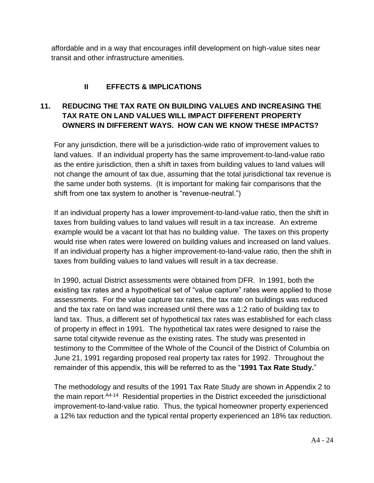affordable and in a way that encourages infill development on high-value sites near transit and other infrastructure amenities.

#### **II EFFECTS & IMPLICATIONS**

#### **11. REDUCING THE TAX RATE ON BUILDING VALUES AND INCREASING THE TAX RATE ON LAND VALUES WILL IMPACT DIFFERENT PROPERTY OWNERS IN DIFFERENT WAYS. HOW CAN WE KNOW THESE IMPACTS?**

For any jurisdiction, there will be a jurisdiction-wide ratio of improvement values to land values. If an individual property has the same improvement-to-land-value ratio as the entire jurisdiction, then a shift in taxes from building values to land values will not change the amount of tax due, assuming that the total jurisdictional tax revenue is the same under both systems. (It is important for making fair comparisons that the shift from one tax system to another is "revenue-neutral.")

If an individual property has a lower improvement-to-land-value ratio, then the shift in taxes from building values to land values will result in a tax increase. An extreme example would be a vacant lot that has no building value. The taxes on this property would rise when rates were lowered on building values and increased on land values. If an individual property has a higher improvement-to-land-value ratio, then the shift in taxes from building values to land values will result in a tax decrease.

In 1990, actual District assessments were obtained from DFR. In 1991, both the existing tax rates and a hypothetical set of "value capture" rates were applied to those assessments. For the value capture tax rates, the tax rate on buildings was reduced and the tax rate on land was increased until there was a 1:2 ratio of building tax to land tax. Thus, a different set of hypothetical tax rates was established for each class of property in effect in 1991. The hypothetical tax rates were designed to raise the same total citywide revenue as the existing rates. The study was presented in testimony to the Committee of the Whole of the Council of the District of Columbia on June 21, 1991 regarding proposed real property tax rates for 1992. Throughout the remainder of this appendix, this will be referred to as the "**1991 Tax Rate Study.**"

The methodology and results of the 1991 Tax Rate Study are shown in Appendix 2 to the main report.<sup>A4-14</sup> Residential properties in the District exceeded the jurisdictional improvement-to-land-value ratio. Thus, the typical homeowner property experienced a 12% tax reduction and the typical rental property experienced an 18% tax reduction.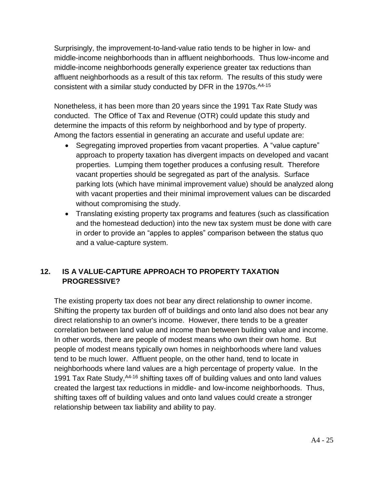Surprisingly, the improvement-to-land-value ratio tends to be higher in low- and middle-income neighborhoods than in affluent neighborhoods. Thus low-income and middle-income neighborhoods generally experience greater tax reductions than affluent neighborhoods as a result of this tax reform. The results of this study were consistent with a similar study conducted by DFR in the 1970s. A4-15

Nonetheless, it has been more than 20 years since the 1991 Tax Rate Study was conducted. The Office of Tax and Revenue (OTR) could update this study and determine the impacts of this reform by neighborhood and by type of property. Among the factors essential in generating an accurate and useful update are:

- Segregating improved properties from vacant properties. A "value capture" approach to property taxation has divergent impacts on developed and vacant properties. Lumping them together produces a confusing result. Therefore vacant properties should be segregated as part of the analysis. Surface parking lots (which have minimal improvement value) should be analyzed along with vacant properties and their minimal improvement values can be discarded without compromising the study.
- Translating existing property tax programs and features (such as classification and the homestead deduction) into the new tax system must be done with care in order to provide an "apples to apples" comparison between the status quo and a value-capture system.

#### **12. IS A VALUE-CAPTURE APPROACH TO PROPERTY TAXATION PROGRESSIVE?**

The existing property tax does not bear any direct relationship to owner income. Shifting the property tax burden off of buildings and onto land also does not bear any direct relationship to an owner's income. However, there tends to be a greater correlation between land value and income than between building value and income. In other words, there are people of modest means who own their own home. But people of modest means typically own homes in neighborhoods where land values tend to be much lower. Affluent people, on the other hand, tend to locate in neighborhoods where land values are a high percentage of property value. In the 1991 Tax Rate Study, <sup>A4-16</sup> shifting taxes off of building values and onto land values created the largest tax reductions in middle- and low-income neighborhoods. Thus, shifting taxes off of building values and onto land values could create a stronger relationship between tax liability and ability to pay.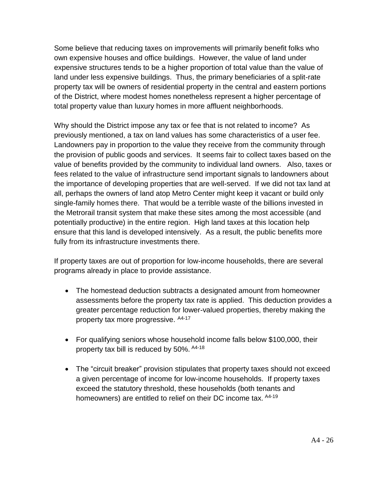Some believe that reducing taxes on improvements will primarily benefit folks who own expensive houses and office buildings. However, the value of land under expensive structures tends to be a higher proportion of total value than the value of land under less expensive buildings. Thus, the primary beneficiaries of a split-rate property tax will be owners of residential property in the central and eastern portions of the District, where modest homes nonetheless represent a higher percentage of total property value than luxury homes in more affluent neighborhoods.

Why should the District impose any tax or fee that is not related to income? As previously mentioned, a tax on land values has some characteristics of a user fee. Landowners pay in proportion to the value they receive from the community through the provision of public goods and services. It seems fair to collect taxes based on the value of benefits provided by the community to individual land owners. Also, taxes or fees related to the value of infrastructure send important signals to landowners about the importance of developing properties that are well-served. If we did not tax land at all, perhaps the owners of land atop Metro Center might keep it vacant or build only single-family homes there. That would be a terrible waste of the billions invested in the Metrorail transit system that make these sites among the most accessible (and potentially productive) in the entire region. High land taxes at this location help ensure that this land is developed intensively. As a result, the public benefits more fully from its infrastructure investments there.

If property taxes are out of proportion for low-income households, there are several programs already in place to provide assistance.

- The homestead deduction subtracts a designated amount from homeowner assessments before the property tax rate is applied. This deduction provides a greater percentage reduction for lower-valued properties, thereby making the property tax more progressive. A4-17
- For qualifying seniors whose household income falls below \$100,000, their property tax bill is reduced by 50%. <sup>A4-18</sup>
- The "circuit breaker" provision stipulates that property taxes should not exceed a given percentage of income for low-income households. If property taxes exceed the statutory threshold, these households (both tenants and homeowners) are entitled to relief on their DC income tax. <sup>A4-19</sup>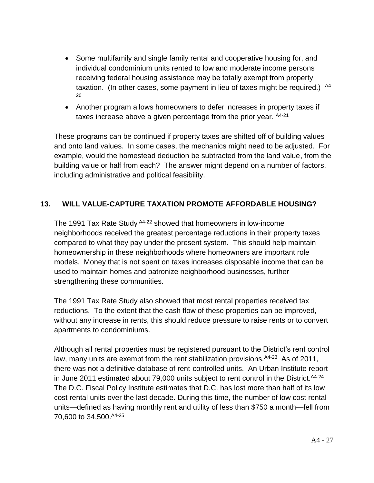- Some multifamily and single family rental and cooperative housing for, and individual condominium units rented to low and moderate income persons receiving federal housing assistance may be totally exempt from property taxation. (In other cases, some payment in lieu of taxes might be required.)  $A4-$ 20
- Another program allows homeowners to defer increases in property taxes if taxes increase above a given percentage from the prior year. A4-21

These programs can be continued if property taxes are shifted off of building values and onto land values. In some cases, the mechanics might need to be adjusted. For example, would the homestead deduction be subtracted from the land value, from the building value or half from each? The answer might depend on a number of factors, including administrative and political feasibility.

#### **13. WILL VALUE-CAPTURE TAXATION PROMOTE AFFORDABLE HOUSING?**

The 1991 Tax Rate Study <sup>A4-22</sup> showed that homeowners in low-income neighborhoods received the greatest percentage reductions in their property taxes compared to what they pay under the present system. This should help maintain homeownership in these neighborhoods where homeowners are important role models. Money that is not spent on taxes increases disposable income that can be used to maintain homes and patronize neighborhood businesses, further strengthening these communities.

The 1991 Tax Rate Study also showed that most rental properties received tax reductions. To the extent that the cash flow of these properties can be improved, without any increase in rents, this should reduce pressure to raise rents or to convert apartments to condominiums.

Although all rental properties must be registered pursuant to the District's rent control law, many units are exempt from the rent stabilization provisions. <sup>A4-23</sup> As of 2011, there was not a definitive database of rent-controlled units. An Urban Institute report in June 2011 estimated about 79,000 units subject to rent control in the District. A4-24 The D.C. Fiscal Policy Institute estimates that D.C. has lost more than half of its low cost rental units over the last decade. During this time, the number of low cost rental units—defined as having monthly rent and utility of less than \$750 a month—fell from 70,600 to 34,500. <sup>A4-25</sup>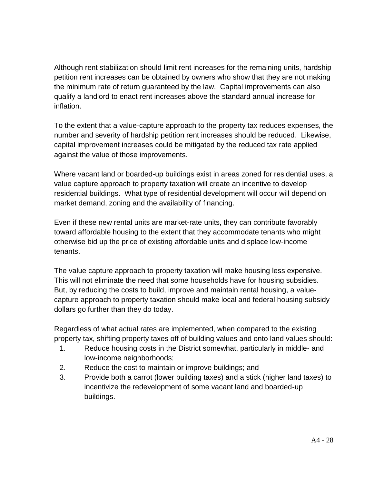Although rent stabilization should limit rent increases for the remaining units, hardship petition rent increases can be obtained by owners who show that they are not making the minimum rate of return guaranteed by the law. Capital improvements can also qualify a landlord to enact rent increases above the standard annual increase for inflation.

To the extent that a value-capture approach to the property tax reduces expenses, the number and severity of hardship petition rent increases should be reduced. Likewise, capital improvement increases could be mitigated by the reduced tax rate applied against the value of those improvements.

Where vacant land or boarded-up buildings exist in areas zoned for residential uses, a value capture approach to property taxation will create an incentive to develop residential buildings. What type of residential development will occur will depend on market demand, zoning and the availability of financing.

Even if these new rental units are market-rate units, they can contribute favorably toward affordable housing to the extent that they accommodate tenants who might otherwise bid up the price of existing affordable units and displace low-income tenants.

The value capture approach to property taxation will make housing less expensive. This will not eliminate the need that some households have for housing subsidies. But, by reducing the costs to build, improve and maintain rental housing, a valuecapture approach to property taxation should make local and federal housing subsidy dollars go further than they do today.

Regardless of what actual rates are implemented, when compared to the existing property tax, shifting property taxes off of building values and onto land values should:

- 1. Reduce housing costs in the District somewhat, particularly in middle- and low-income neighborhoods;
- 2. Reduce the cost to maintain or improve buildings; and
- 3. Provide both a carrot (lower building taxes) and a stick (higher land taxes) to incentivize the redevelopment of some vacant land and boarded-up buildings.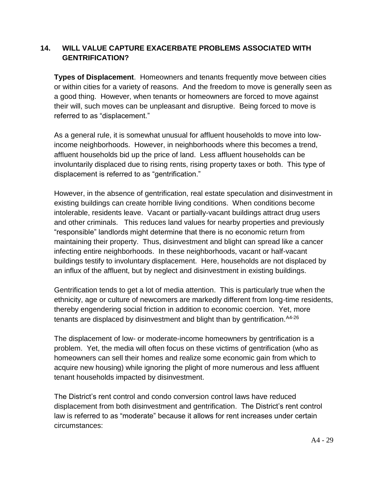#### **14. WILL VALUE CAPTURE EXACERBATE PROBLEMS ASSOCIATED WITH GENTRIFICATION?**

**Types of Displacement**. Homeowners and tenants frequently move between cities or within cities for a variety of reasons. And the freedom to move is generally seen as a good thing. However, when tenants or homeowners are forced to move against their will, such moves can be unpleasant and disruptive. Being forced to move is referred to as "displacement."

As a general rule, it is somewhat unusual for affluent households to move into lowincome neighborhoods. However, in neighborhoods where this becomes a trend, affluent households bid up the price of land. Less affluent households can be involuntarily displaced due to rising rents, rising property taxes or both. This type of displacement is referred to as "gentrification."

However, in the absence of gentrification, real estate speculation and disinvestment in existing buildings can create horrible living conditions. When conditions become intolerable, residents leave. Vacant or partially-vacant buildings attract drug users and other criminals. This reduces land values for nearby properties and previously "responsible" landlords might determine that there is no economic return from maintaining their property. Thus, disinvestment and blight can spread like a cancer infecting entire neighborhoods. In these neighborhoods, vacant or half-vacant buildings testify to involuntary displacement. Here, households are not displaced by an influx of the affluent, but by neglect and disinvestment in existing buildings.

Gentrification tends to get a lot of media attention. This is particularly true when the ethnicity, age or culture of newcomers are markedly different from long-time residents, thereby engendering social friction in addition to economic coercion. Yet, more tenants are displaced by disinvestment and blight than by gentrification.  $A4-26$ 

The displacement of low- or moderate-income homeowners by gentrification is a problem. Yet, the media will often focus on these victims of gentrification (who as homeowners can sell their homes and realize some economic gain from which to acquire new housing) while ignoring the plight of more numerous and less affluent tenant households impacted by disinvestment.

The District's rent control and condo conversion control laws have reduced displacement from both disinvestment and gentrification. The District's rent control law is referred to as "moderate" because it allows for rent increases under certain circumstances: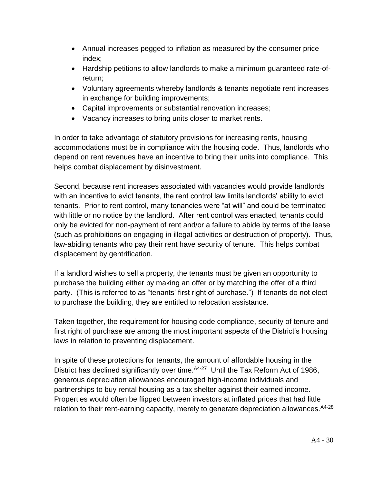- Annual increases pegged to inflation as measured by the consumer price index;
- Hardship petitions to allow landlords to make a minimum guaranteed rate-ofreturn;
- Voluntary agreements whereby landlords & tenants negotiate rent increases in exchange for building improvements;
- Capital improvements or substantial renovation increases;
- Vacancy increases to bring units closer to market rents.

In order to take advantage of statutory provisions for increasing rents, housing accommodations must be in compliance with the housing code. Thus, landlords who depend on rent revenues have an incentive to bring their units into compliance. This helps combat displacement by disinvestment.

Second, because rent increases associated with vacancies would provide landlords with an incentive to evict tenants, the rent control law limits landlords' ability to evict tenants. Prior to rent control, many tenancies were "at will" and could be terminated with little or no notice by the landlord. After rent control was enacted, tenants could only be evicted for non-payment of rent and/or a failure to abide by terms of the lease (such as prohibitions on engaging in illegal activities or destruction of property). Thus, law-abiding tenants who pay their rent have security of tenure. This helps combat displacement by gentrification.

If a landlord wishes to sell a property, the tenants must be given an opportunity to purchase the building either by making an offer or by matching the offer of a third party. (This is referred to as "tenants' first right of purchase.") If tenants do not elect to purchase the building, they are entitled to relocation assistance.

Taken together, the requirement for housing code compliance, security of tenure and first right of purchase are among the most important aspects of the District's housing laws in relation to preventing displacement.

In spite of these protections for tenants, the amount of affordable housing in the District has declined significantly over time. A4-27 Until the Tax Reform Act of 1986, generous depreciation allowances encouraged high-income individuals and partnerships to buy rental housing as a tax shelter against their earned income. Properties would often be flipped between investors at inflated prices that had little relation to their rent-earning capacity, merely to generate depreciation allowances. A4-28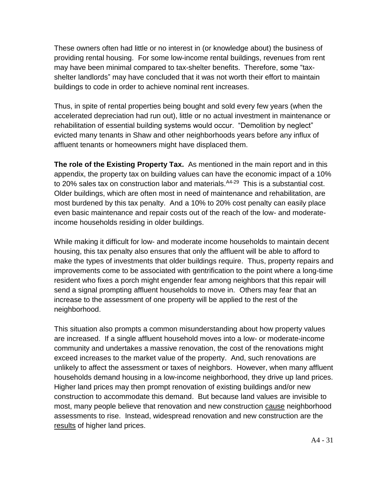These owners often had little or no interest in (or knowledge about) the business of providing rental housing. For some low-income rental buildings, revenues from rent may have been minimal compared to tax-shelter benefits. Therefore, some "taxshelter landlords" may have concluded that it was not worth their effort to maintain buildings to code in order to achieve nominal rent increases.

Thus, in spite of rental properties being bought and sold every few years (when the accelerated depreciation had run out), little or no actual investment in maintenance or rehabilitation of essential building systems would occur. "Demolition by neglect" evicted many tenants in Shaw and other neighborhoods years before any influx of affluent tenants or homeowners might have displaced them.

**The role of the Existing Property Tax.** As mentioned in the main report and in this appendix, the property tax on building values can have the economic impact of a 10% to 20% sales tax on construction labor and materials. A4-29 This is a substantial cost. Older buildings, which are often most in need of maintenance and rehabilitation, are most burdened by this tax penalty. And a 10% to 20% cost penalty can easily place even basic maintenance and repair costs out of the reach of the low- and moderateincome households residing in older buildings.

While making it difficult for low- and moderate income households to maintain decent housing, this tax penalty also ensures that only the affluent will be able to afford to make the types of investments that older buildings require. Thus, property repairs and improvements come to be associated with gentrification to the point where a long-time resident who fixes a porch might engender fear among neighbors that this repair will send a signal prompting affluent households to move in. Others may fear that an increase to the assessment of one property will be applied to the rest of the neighborhood.

This situation also prompts a common misunderstanding about how property values are increased. If a single affluent household moves into a low- or moderate-income community and undertakes a massive renovation, the cost of the renovations might exceed increases to the market value of the property. And, such renovations are unlikely to affect the assessment or taxes of neighbors. However, when many affluent households demand housing in a low-income neighborhood, they drive up land prices. Higher land prices may then prompt renovation of existing buildings and/or new construction to accommodate this demand. But because land values are invisible to most, many people believe that renovation and new construction cause neighborhood assessments to rise. Instead, widespread renovation and new construction are the results of higher land prices.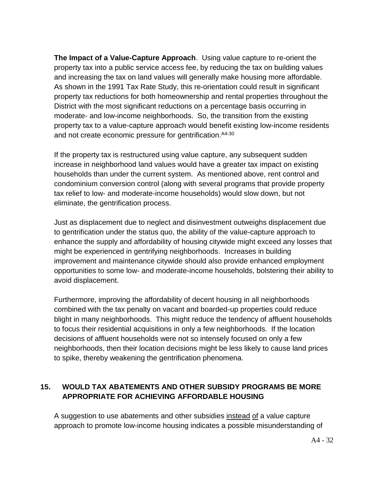**The Impact of a Value-Capture Approach**. Using value capture to re-orient the property tax into a public service access fee, by reducing the tax on building values and increasing the tax on land values will generally make housing more affordable. As shown in the 1991 Tax Rate Study, this re-orientation could result in significant property tax reductions for both homeownership and rental properties throughout the District with the most significant reductions on a percentage basis occurring in moderate- and low-income neighborhoods. So, the transition from the existing property tax to a value-capture approach would benefit existing low-income residents and not create economic pressure for gentrification. <sup>A4-30</sup>

If the property tax is restructured using value capture, any subsequent sudden increase in neighborhood land values would have a greater tax impact on existing households than under the current system. As mentioned above, rent control and condominium conversion control (along with several programs that provide property tax relief to low- and moderate-income households) would slow down, but not eliminate, the gentrification process.

Just as displacement due to neglect and disinvestment outweighs displacement due to gentrification under the status quo, the ability of the value-capture approach to enhance the supply and affordability of housing citywide might exceed any losses that might be experienced in gentrifying neighborhoods. Increases in building improvement and maintenance citywide should also provide enhanced employment opportunities to some low- and moderate-income households, bolstering their ability to avoid displacement.

Furthermore, improving the affordability of decent housing in all neighborhoods combined with the tax penalty on vacant and boarded-up properties could reduce blight in many neighborhoods. This might reduce the tendency of affluent households to focus their residential acquisitions in only a few neighborhoods. If the location decisions of affluent households were not so intensely focused on only a few neighborhoods, then their location decisions might be less likely to cause land prices to spike, thereby weakening the gentrification phenomena.

#### **15. WOULD TAX ABATEMENTS AND OTHER SUBSIDY PROGRAMS BE MORE APPROPRIATE FOR ACHIEVING AFFORDABLE HOUSING**

A suggestion to use abatements and other subsidies instead of a value capture approach to promote low-income housing indicates a possible misunderstanding of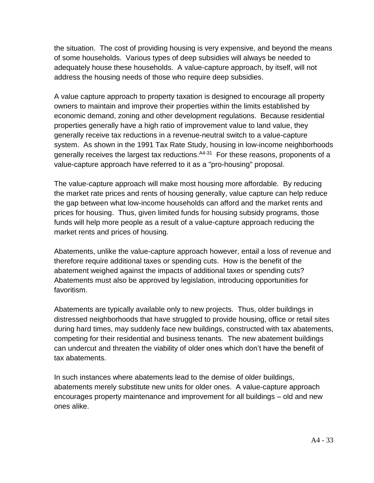the situation. The cost of providing housing is very expensive, and beyond the means of some households. Various types of deep subsidies will always be needed to adequately house these households. A value-capture approach, by itself, will not address the housing needs of those who require deep subsidies.

A value capture approach to property taxation is designed to encourage all property owners to maintain and improve their properties within the limits established by economic demand, zoning and other development regulations. Because residential properties generally have a high ratio of improvement value to land value, they generally receive tax reductions in a revenue-neutral switch to a value-capture system. As shown in the 1991 Tax Rate Study, housing in low-income neighborhoods generally receives the largest tax reductions.<sup>A4-31</sup> For these reasons, proponents of a value-capture approach have referred to it as a "pro-housing" proposal.

The value-capture approach will make most housing more affordable. By reducing the market rate prices and rents of housing generally, value capture can help reduce the gap between what low-income households can afford and the market rents and prices for housing. Thus, given limited funds for housing subsidy programs, those funds will help more people as a result of a value-capture approach reducing the market rents and prices of housing.

Abatements, unlike the value-capture approach however, entail a loss of revenue and therefore require additional taxes or spending cuts. How is the benefit of the abatement weighed against the impacts of additional taxes or spending cuts? Abatements must also be approved by legislation, introducing opportunities for favoritism.

Abatements are typically available only to new projects. Thus, older buildings in distressed neighborhoods that have struggled to provide housing, office or retail sites during hard times, may suddenly face new buildings, constructed with tax abatements, competing for their residential and business tenants. The new abatement buildings can undercut and threaten the viability of older ones which don't have the benefit of tax abatements.

In such instances where abatements lead to the demise of older buildings, abatements merely substitute new units for older ones. A value-capture approach encourages property maintenance and improvement for all buildings – old and new ones alike.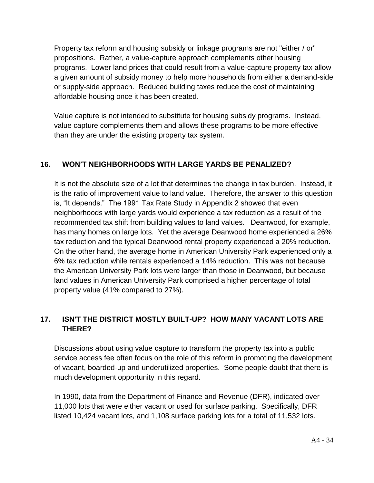Property tax reform and housing subsidy or linkage programs are not "either / or" propositions. Rather, a value-capture approach complements other housing programs. Lower land prices that could result from a value-capture property tax allow a given amount of subsidy money to help more households from either a demand-side or supply-side approach. Reduced building taxes reduce the cost of maintaining affordable housing once it has been created.

Value capture is not intended to substitute for housing subsidy programs. Instead, value capture complements them and allows these programs to be more effective than they are under the existing property tax system.

#### **16. WON'T NEIGHBORHOODS WITH LARGE YARDS BE PENALIZED?**

It is not the absolute size of a lot that determines the change in tax burden. Instead, it is the ratio of improvement value to land value. Therefore, the answer to this question is, "It depends." The 1991 Tax Rate Study in Appendix 2 showed that even neighborhoods with large yards would experience a tax reduction as a result of the recommended tax shift from building values to land values. Deanwood, for example, has many homes on large lots. Yet the average Deanwood home experienced a 26% tax reduction and the typical Deanwood rental property experienced a 20% reduction. On the other hand, the average home in American University Park experienced only a 6% tax reduction while rentals experienced a 14% reduction. This was not because the American University Park lots were larger than those in Deanwood, but because land values in American University Park comprised a higher percentage of total property value (41% compared to 27%).

#### **17. ISN'T THE DISTRICT MOSTLY BUILT-UP? HOW MANY VACANT LOTS ARE THERE?**

Discussions about using value capture to transform the property tax into a public service access fee often focus on the role of this reform in promoting the development of vacant, boarded-up and underutilized properties. Some people doubt that there is much development opportunity in this regard.

In 1990, data from the Department of Finance and Revenue (DFR), indicated over 11,000 lots that were either vacant or used for surface parking. Specifically, DFR listed 10,424 vacant lots, and 1,108 surface parking lots for a total of 11,532 lots.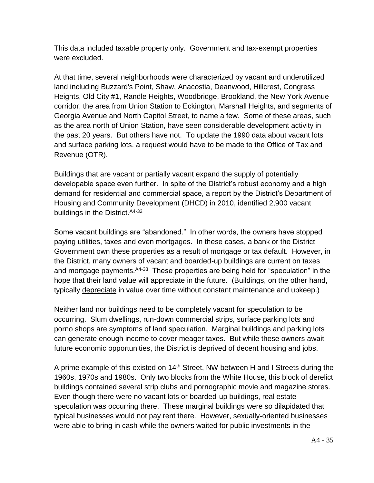This data included taxable property only. Government and tax-exempt properties were excluded.

At that time, several neighborhoods were characterized by vacant and underutilized land including Buzzard's Point, Shaw, Anacostia, Deanwood, Hillcrest, Congress Heights, Old City #1, Randle Heights, Woodbridge, Brookland, the New York Avenue corridor, the area from Union Station to Eckington, Marshall Heights, and segments of Georgia Avenue and North Capitol Street, to name a few. Some of these areas, such as the area north of Union Station, have seen considerable development activity in the past 20 years. But others have not. To update the 1990 data about vacant lots and surface parking lots, a request would have to be made to the Office of Tax and Revenue (OTR).

Buildings that are vacant or partially vacant expand the supply of potentially developable space even further. In spite of the District's robust economy and a high demand for residential and commercial space, a report by the District's Department of Housing and Community Development (DHCD) in 2010, identified 2,900 vacant buildings in the District. A4-32

Some vacant buildings are "abandoned." In other words, the owners have stopped paying utilities, taxes and even mortgages. In these cases, a bank or the District Government own these properties as a result of mortgage or tax default. However, in the District, many owners of vacant and boarded-up buildings are current on taxes and mortgage payments. <sup>A4-33</sup> These properties are being held for "speculation" in the hope that their land value will appreciate in the future. (Buildings, on the other hand, typically depreciate in value over time without constant maintenance and upkeep.)

Neither land nor buildings need to be completely vacant for speculation to be occurring. Slum dwellings, run-down commercial strips, surface parking lots and porno shops are symptoms of land speculation. Marginal buildings and parking lots can generate enough income to cover meager taxes. But while these owners await future economic opportunities, the District is deprived of decent housing and jobs.

A prime example of this existed on 14<sup>th</sup> Street, NW between H and I Streets during the 1960s, 1970s and 1980s. Only two blocks from the White House, this block of derelict buildings contained several strip clubs and pornographic movie and magazine stores. Even though there were no vacant lots or boarded-up buildings, real estate speculation was occurring there. These marginal buildings were so dilapidated that typical businesses would not pay rent there. However, sexually-oriented businesses were able to bring in cash while the owners waited for public investments in the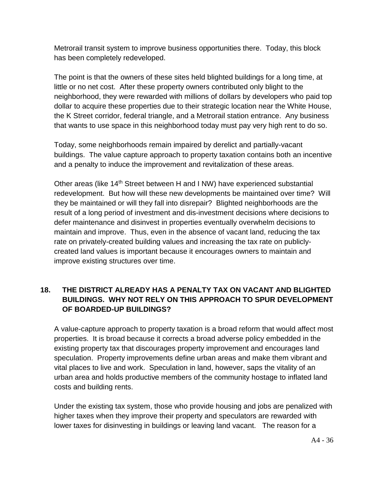Metrorail transit system to improve business opportunities there. Today, this block has been completely redeveloped.

The point is that the owners of these sites held blighted buildings for a long time, at little or no net cost. After these property owners contributed only blight to the neighborhood, they were rewarded with millions of dollars by developers who paid top dollar to acquire these properties due to their strategic location near the White House, the K Street corridor, federal triangle, and a Metrorail station entrance. Any business that wants to use space in this neighborhood today must pay very high rent to do so.

Today, some neighborhoods remain impaired by derelict and partially-vacant buildings. The value capture approach to property taxation contains both an incentive and a penalty to induce the improvement and revitalization of these areas.

Other areas (like 14<sup>th</sup> Street between H and I NW) have experienced substantial redevelopment. But how will these new developments be maintained over time? Will they be maintained or will they fall into disrepair? Blighted neighborhoods are the result of a long period of investment and dis-investment decisions where decisions to defer maintenance and disinvest in properties eventually overwhelm decisions to maintain and improve. Thus, even in the absence of vacant land, reducing the tax rate on privately-created building values and increasing the tax rate on publiclycreated land values is important because it encourages owners to maintain and improve existing structures over time.

#### **18. THE DISTRICT ALREADY HAS A PENALTY TAX ON VACANT AND BLIGHTED BUILDINGS. WHY NOT RELY ON THIS APPROACH TO SPUR DEVELOPMENT OF BOARDED-UP BUILDINGS?**

A value-capture approach to property taxation is a broad reform that would affect most properties. It is broad because it corrects a broad adverse policy embedded in the existing property tax that discourages property improvement and encourages land speculation. Property improvements define urban areas and make them vibrant and vital places to live and work. Speculation in land, however, saps the vitality of an urban area and holds productive members of the community hostage to inflated land costs and building rents.

Under the existing tax system, those who provide housing and jobs are penalized with higher taxes when they improve their property and speculators are rewarded with lower taxes for disinvesting in buildings or leaving land vacant. The reason for a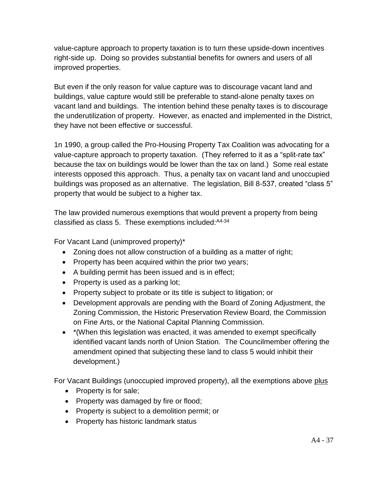value-capture approach to property taxation is to turn these upside-down incentives right-side up. Doing so provides substantial benefits for owners and users of all improved properties.

But even if the only reason for value capture was to discourage vacant land and buildings, value capture would still be preferable to stand-alone penalty taxes on vacant land and buildings. The intention behind these penalty taxes is to discourage the underutilization of property. However, as enacted and implemented in the District, they have not been effective or successful.

1n 1990, a group called the Pro-Housing Property Tax Coalition was advocating for a value-capture approach to property taxation. (They referred to it as a "split-rate tax" because the tax on buildings would be lower than the tax on land.) Some real estate interests opposed this approach. Thus, a penalty tax on vacant land and unoccupied buildings was proposed as an alternative. The legislation, Bill 8-537, created "class 5" property that would be subject to a higher tax.

The law provided numerous exemptions that would prevent a property from being classified as class 5. These exemptions included:A4-34

For Vacant Land (unimproved property)\*

- Zoning does not allow construction of a building as a matter of right;
- Property has been acquired within the prior two years;
- A building permit has been issued and is in effect;
- Property is used as a parking lot;
- Property subject to probate or its title is subject to litigation; or
- Development approvals are pending with the Board of Zoning Adjustment, the Zoning Commission, the Historic Preservation Review Board, the Commission on Fine Arts, or the National Capital Planning Commission.
- \* (When this legislation was enacted, it was amended to exempt specifically identified vacant lands north of Union Station. The Councilmember offering the amendment opined that subjecting these land to class 5 would inhibit their development.)

For Vacant Buildings (unoccupied improved property), all the exemptions above plus

- $\bullet$  Property is for sale;
- Property was damaged by fire or flood;
- Property is subject to a demolition permit; or
- Property has historic landmark status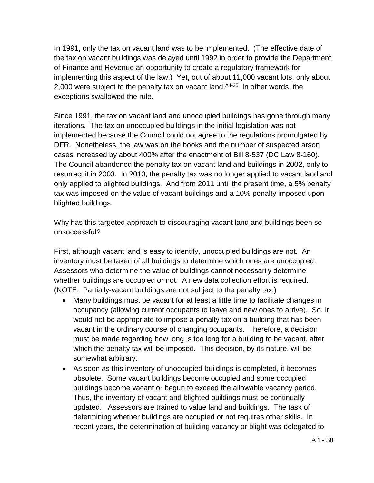In 1991, only the tax on vacant land was to be implemented. (The effective date of the tax on vacant buildings was delayed until 1992 in order to provide the Department of Finance and Revenue an opportunity to create a regulatory framework for implementing this aspect of the law.) Yet, out of about 11,000 vacant lots, only about 2,000 were subject to the penalty tax on vacant land. <sup>A4-35</sup> In other words, the exceptions swallowed the rule.

Since 1991, the tax on vacant land and unoccupied buildings has gone through many iterations. The tax on unoccupied buildings in the initial legislation was not implemented because the Council could not agree to the regulations promulgated by DFR. Nonetheless, the law was on the books and the number of suspected arson cases increased by about 400% after the enactment of Bill 8-537 (DC Law 8-160). The Council abandoned the penalty tax on vacant land and buildings in 2002, only to resurrect it in 2003. In 2010, the penalty tax was no longer applied to vacant land and only applied to blighted buildings. And from 2011 until the present time, a 5% penalty tax was imposed on the value of vacant buildings and a 10% penalty imposed upon blighted buildings.

Why has this targeted approach to discouraging vacant land and buildings been so unsuccessful?

First, although vacant land is easy to identify, unoccupied buildings are not. An inventory must be taken of all buildings to determine which ones are unoccupied. Assessors who determine the value of buildings cannot necessarily determine whether buildings are occupied or not. A new data collection effort is required. (NOTE: Partially-vacant buildings are not subject to the penalty tax.)

- Many buildings must be vacant for at least a little time to facilitate changes in occupancy (allowing current occupants to leave and new ones to arrive). So, it would not be appropriate to impose a penalty tax on a building that has been vacant in the ordinary course of changing occupants. Therefore, a decision must be made regarding how long is too long for a building to be vacant, after which the penalty tax will be imposed. This decision, by its nature, will be somewhat arbitrary.
- As soon as this inventory of unoccupied buildings is completed, it becomes obsolete. Some vacant buildings become occupied and some occupied buildings become vacant or begun to exceed the allowable vacancy period. Thus, the inventory of vacant and blighted buildings must be continually updated. Assessors are trained to value land and buildings. The task of determining whether buildings are occupied or not requires other skills. In recent years, the determination of building vacancy or blight was delegated to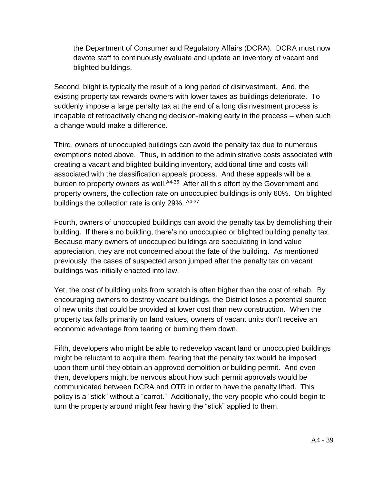the Department of Consumer and Regulatory Affairs (DCRA). DCRA must now devote staff to continuously evaluate and update an inventory of vacant and blighted buildings.

Second, blight is typically the result of a long period of disinvestment. And, the existing property tax rewards owners with lower taxes as buildings deteriorate. To suddenly impose a large penalty tax at the end of a long disinvestment process is incapable of retroactively changing decision-making early in the process – when such a change would make a difference.

Third, owners of unoccupied buildings can avoid the penalty tax due to numerous exemptions noted above. Thus, in addition to the administrative costs associated with creating a vacant and blighted building inventory, additional time and costs will associated with the classification appeals process. And these appeals will be a burden to property owners as well.<sup>A4-36</sup> After all this effort by the Government and property owners, the collection rate on unoccupied buildings is only 60%. On blighted buildings the collection rate is only 29%. A4-37

Fourth, owners of unoccupied buildings can avoid the penalty tax by demolishing their building. If there's no building, there's no unoccupied or blighted building penalty tax. Because many owners of unoccupied buildings are speculating in land value appreciation, they are not concerned about the fate of the building. As mentioned previously, the cases of suspected arson jumped after the penalty tax on vacant buildings was initially enacted into law.

Yet, the cost of building units from scratch is often higher than the cost of rehab. By encouraging owners to destroy vacant buildings, the District loses a potential source of new units that could be provided at lower cost than new construction. When the property tax falls primarily on land values, owners of vacant units don't receive an economic advantage from tearing or burning them down.

Fifth, developers who might be able to redevelop vacant land or unoccupied buildings might be reluctant to acquire them, fearing that the penalty tax would be imposed upon them until they obtain an approved demolition or building permit. And even then, developers might be nervous about how such permit approvals would be communicated between DCRA and OTR in order to have the penalty lifted. This policy is a "stick" without a "carrot." Additionally, the very people who could begin to turn the property around might fear having the "stick" applied to them.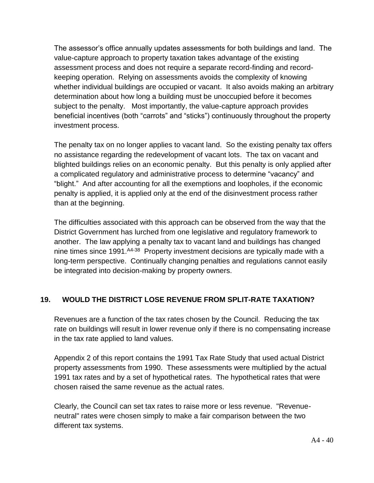The assessor's office annually updates assessments for both buildings and land. The value-capture approach to property taxation takes advantage of the existing assessment process and does not require a separate record-finding and recordkeeping operation. Relying on assessments avoids the complexity of knowing whether individual buildings are occupied or vacant. It also avoids making an arbitrary determination about how long a building must be unoccupied before it becomes subject to the penalty. Most importantly, the value-capture approach provides beneficial incentives (both "carrots" and "sticks") continuously throughout the property investment process.

The penalty tax on no longer applies to vacant land. So the existing penalty tax offers no assistance regarding the redevelopment of vacant lots. The tax on vacant and blighted buildings relies on an economic penalty. But this penalty is only applied after a complicated regulatory and administrative process to determine "vacancy" and "blight." And after accounting for all the exemptions and loopholes, if the economic penalty is applied, it is applied only at the end of the disinvestment process rather than at the beginning.

The difficulties associated with this approach can be observed from the way that the District Government has lurched from one legislative and regulatory framework to another. The law applying a penalty tax to vacant land and buildings has changed nine times since 1991. <sup>A4-38</sup> Property investment decisions are typically made with a long-term perspective. Continually changing penalties and regulations cannot easily be integrated into decision-making by property owners.

#### **19. WOULD THE DISTRICT LOSE REVENUE FROM SPLIT-RATE TAXATION?**

Revenues are a function of the tax rates chosen by the Council. Reducing the tax rate on buildings will result in lower revenue only if there is no compensating increase in the tax rate applied to land values.

Appendix 2 of this report contains the 1991 Tax Rate Study that used actual District property assessments from 1990. These assessments were multiplied by the actual 1991 tax rates and by a set of hypothetical rates. The hypothetical rates that were chosen raised the same revenue as the actual rates.

Clearly, the Council can set tax rates to raise more or less revenue. "Revenueneutral" rates were chosen simply to make a fair comparison between the two different tax systems.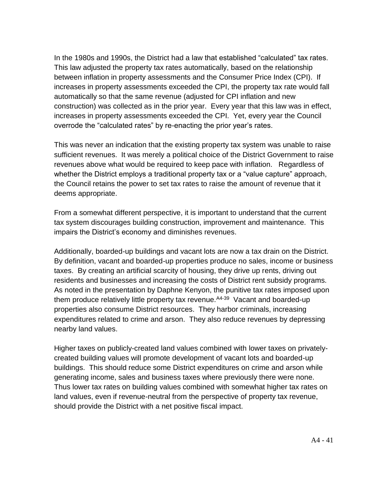In the 1980s and 1990s, the District had a law that established "calculated" tax rates. This law adjusted the property tax rates automatically, based on the relationship between inflation in property assessments and the Consumer Price Index (CPI). If increases in property assessments exceeded the CPI, the property tax rate would fall automatically so that the same revenue (adjusted for CPI inflation and new construction) was collected as in the prior year. Every year that this law was in effect, increases in property assessments exceeded the CPI. Yet, every year the Council overrode the "calculated rates" by re-enacting the prior year's rates.

This was never an indication that the existing property tax system was unable to raise sufficient revenues. It was merely a political choice of the District Government to raise revenues above what would be required to keep pace with inflation. Regardless of whether the District employs a traditional property tax or a "value capture" approach, the Council retains the power to set tax rates to raise the amount of revenue that it deems appropriate.

From a somewhat different perspective, it is important to understand that the current tax system discourages building construction, improvement and maintenance. This impairs the District's economy and diminishes revenues.

Additionally, boarded-up buildings and vacant lots are now a tax drain on the District. By definition, vacant and boarded-up properties produce no sales, income or business taxes. By creating an artificial scarcity of housing, they drive up rents, driving out residents and businesses and increasing the costs of District rent subsidy programs. As noted in the presentation by Daphne Kenyon, the punitive tax rates imposed upon them produce relatively little property tax revenue. <sup>A4-39</sup> Vacant and boarded-up properties also consume District resources. They harbor criminals, increasing expenditures related to crime and arson. They also reduce revenues by depressing nearby land values.

Higher taxes on publicly-created land values combined with lower taxes on privatelycreated building values will promote development of vacant lots and boarded-up buildings. This should reduce some District expenditures on crime and arson while generating income, sales and business taxes where previously there were none. Thus lower tax rates on building values combined with somewhat higher tax rates on land values, even if revenue-neutral from the perspective of property tax revenue, should provide the District with a net positive fiscal impact.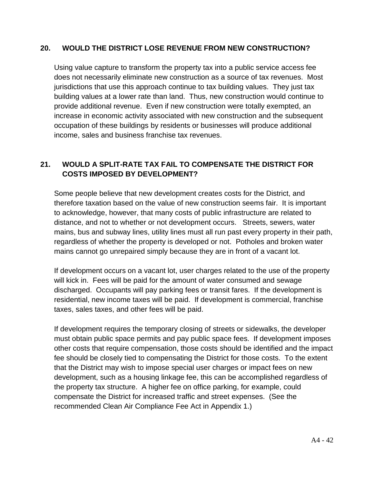#### **20. WOULD THE DISTRICT LOSE REVENUE FROM NEW CONSTRUCTION?**

Using value capture to transform the property tax into a public service access fee does not necessarily eliminate new construction as a source of tax revenues. Most jurisdictions that use this approach continue to tax building values. They just tax building values at a lower rate than land. Thus, new construction would continue to provide additional revenue. Even if new construction were totally exempted, an increase in economic activity associated with new construction and the subsequent occupation of these buildings by residents or businesses will produce additional income, sales and business franchise tax revenues.

#### **21. WOULD A SPLIT-RATE TAX FAIL TO COMPENSATE THE DISTRICT FOR COSTS IMPOSED BY DEVELOPMENT?**

Some people believe that new development creates costs for the District, and therefore taxation based on the value of new construction seems fair. It is important to acknowledge, however, that many costs of public infrastructure are related to distance, and not to whether or not development occurs. Streets, sewers, water mains, bus and subway lines, utility lines must all run past every property in their path, regardless of whether the property is developed or not. Potholes and broken water mains cannot go unrepaired simply because they are in front of a vacant lot.

If development occurs on a vacant lot, user charges related to the use of the property will kick in. Fees will be paid for the amount of water consumed and sewage discharged. Occupants will pay parking fees or transit fares. If the development is residential, new income taxes will be paid. If development is commercial, franchise taxes, sales taxes, and other fees will be paid.

If development requires the temporary closing of streets or sidewalks, the developer must obtain public space permits and pay public space fees. If development imposes other costs that require compensation, those costs should be identified and the impact fee should be closely tied to compensating the District for those costs. To the extent that the District may wish to impose special user charges or impact fees on new development, such as a housing linkage fee, this can be accomplished regardless of the property tax structure. A higher fee on office parking, for example, could compensate the District for increased traffic and street expenses. (See the recommended Clean Air Compliance Fee Act in Appendix 1.)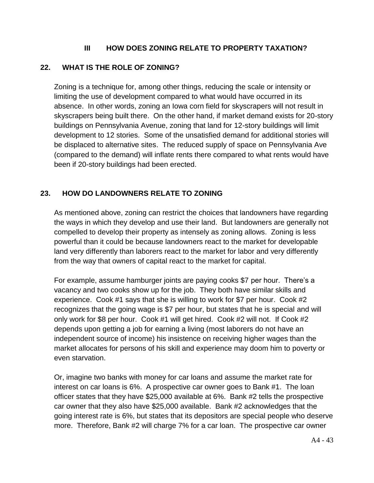#### **III HOW DOES ZONING RELATE TO PROPERTY TAXATION?**

#### **22. WHAT IS THE ROLE OF ZONING?**

Zoning is a technique for, among other things, reducing the scale or intensity or limiting the use of development compared to what would have occurred in its absence. In other words, zoning an Iowa corn field for skyscrapers will not result in skyscrapers being built there. On the other hand, if market demand exists for 20-story buildings on Pennsylvania Avenue, zoning that land for 12-story buildings will limit development to 12 stories. Some of the unsatisfied demand for additional stories will be displaced to alternative sites. The reduced supply of space on Pennsylvania Ave (compared to the demand) will inflate rents there compared to what rents would have been if 20-story buildings had been erected.

#### **23. HOW DO LANDOWNERS RELATE TO ZONING**

As mentioned above, zoning can restrict the choices that landowners have regarding the ways in which they develop and use their land. But landowners are generally not compelled to develop their property as intensely as zoning allows. Zoning is less powerful than it could be because landowners react to the market for developable land very differently than laborers react to the market for labor and very differently from the way that owners of capital react to the market for capital.

For example, assume hamburger joints are paying cooks \$7 per hour. There's a vacancy and two cooks show up for the job. They both have similar skills and experience. Cook #1 says that she is willing to work for \$7 per hour. Cook #2 recognizes that the going wage is \$7 per hour, but states that he is special and will only work for \$8 per hour. Cook #1 will get hired. Cook #2 will not. If Cook #2 depends upon getting a job for earning a living (most laborers do not have an independent source of income) his insistence on receiving higher wages than the market allocates for persons of his skill and experience may doom him to poverty or even starvation.

Or, imagine two banks with money for car loans and assume the market rate for interest on car loans is 6%. A prospective car owner goes to Bank #1. The loan officer states that they have \$25,000 available at 6%. Bank #2 tells the prospective car owner that they also have \$25,000 available. Bank #2 acknowledges that the going interest rate is 6%, but states that its depositors are special people who deserve more. Therefore, Bank #2 will charge 7% for a car loan. The prospective car owner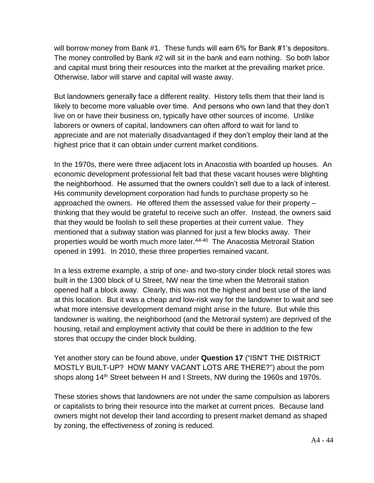will borrow money from Bank #1. These funds will earn 6% for Bank #1's depositors. The money controlled by Bank #2 will sit in the bank and earn nothing. So both labor and capital must bring their resources into the market at the prevailing market price. Otherwise, labor will starve and capital will waste away.

But landowners generally face a different reality. History tells them that their land is likely to become more valuable over time. And persons who own land that they don't live on or have their business on, typically have other sources of income. Unlike laborers or owners of capital, landowners can often afford to wait for land to appreciate and are not materially disadvantaged if they don't employ their land at the highest price that it can obtain under current market conditions.

In the 1970s, there were three adjacent lots in Anacostia with boarded up houses. An economic development professional felt bad that these vacant houses were blighting the neighborhood. He assumed that the owners couldn't sell due to a lack of interest. His community development corporation had funds to purchase property so he approached the owners. He offered them the assessed value for their property – thinking that they would be grateful to receive such an offer. Instead, the owners said that they would be foolish to sell these properties at their current value. They mentioned that a subway station was planned for just a few blocks away. Their properties would be worth much more later.<sup>A4-40</sup> The Anacostia Metrorail Station opened in 1991. In 2010, these three properties remained vacant.

In a less extreme example, a strip of one- and two-story cinder block retail stores was built in the 1300 block of U Street, NW near the time when the Metrorail station opened half a block away. Clearly, this was not the highest and best use of the land at this location. But it was a cheap and low-risk way for the landowner to wait and see what more intensive development demand might arise in the future. But while this landowner is waiting, the neighborhood (and the Metrorail system) are deprived of the housing, retail and employment activity that could be there in addition to the few stores that occupy the cinder block building.

Yet another story can be found above, under **Question 17** ("ISN'T THE DISTRICT MOSTLY BUILT-UP? HOW MANY VACANT LOTS ARE THERE?") about the porn shops along 14<sup>th</sup> Street between H and I Streets, NW during the 1960s and 1970s.

These stories shows that landowners are not under the same compulsion as laborers or capitalists to bring their resource into the market at current prices. Because land owners might not develop their land according to present market demand as shaped by zoning, the effectiveness of zoning is reduced.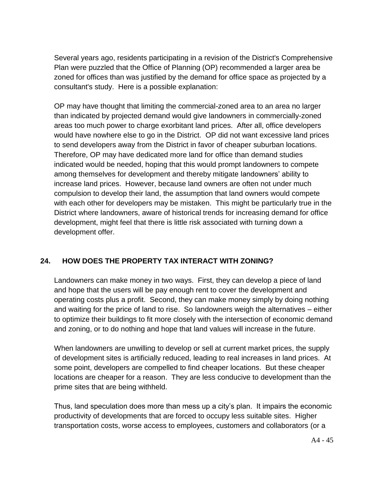Several years ago, residents participating in a revision of the District's Comprehensive Plan were puzzled that the Office of Planning (OP) recommended a larger area be zoned for offices than was justified by the demand for office space as projected by a consultant's study. Here is a possible explanation:

OP may have thought that limiting the commercial-zoned area to an area no larger than indicated by projected demand would give landowners in commercially-zoned areas too much power to charge exorbitant land prices. After all, office developers would have nowhere else to go in the District. OP did not want excessive land prices to send developers away from the District in favor of cheaper suburban locations. Therefore, OP may have dedicated more land for office than demand studies indicated would be needed, hoping that this would prompt landowners to compete among themselves for development and thereby mitigate landowners' ability to increase land prices. However, because land owners are often not under much compulsion to develop their land, the assumption that land owners would compete with each other for developers may be mistaken. This might be particularly true in the District where landowners, aware of historical trends for increasing demand for office development, might feel that there is little risk associated with turning down a development offer.

#### **24. HOW DOES THE PROPERTY TAX INTERACT WITH ZONING?**

Landowners can make money in two ways. First, they can develop a piece of land and hope that the users will be pay enough rent to cover the development and operating costs plus a profit. Second, they can make money simply by doing nothing and waiting for the price of land to rise. So landowners weigh the alternatives – either to optimize their buildings to fit more closely with the intersection of economic demand and zoning, or to do nothing and hope that land values will increase in the future.

When landowners are unwilling to develop or sell at current market prices, the supply of development sites is artificially reduced, leading to real increases in land prices. At some point, developers are compelled to find cheaper locations. But these cheaper locations are cheaper for a reason. They are less conducive to development than the prime sites that are being withheld.

Thus, land speculation does more than mess up a city's plan. It impairs the economic productivity of developments that are forced to occupy less suitable sites. Higher transportation costs, worse access to employees, customers and collaborators (or a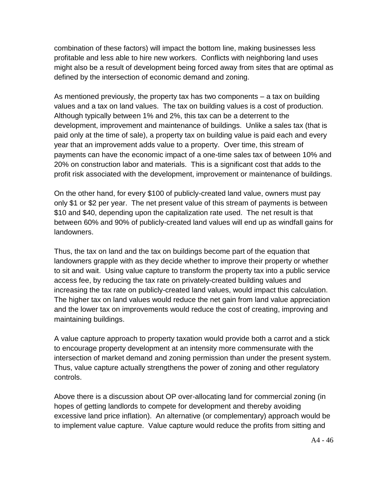combination of these factors) will impact the bottom line, making businesses less profitable and less able to hire new workers. Conflicts with neighboring land uses might also be a result of development being forced away from sites that are optimal as defined by the intersection of economic demand and zoning.

As mentioned previously, the property tax has two components – a tax on building values and a tax on land values. The tax on building values is a cost of production. Although typically between 1% and 2%, this tax can be a deterrent to the development, improvement and maintenance of buildings. Unlike a sales tax (that is paid only at the time of sale), a property tax on building value is paid each and every year that an improvement adds value to a property. Over time, this stream of payments can have the economic impact of a one-time sales tax of between 10% and 20% on construction labor and materials. This is a significant cost that adds to the profit risk associated with the development, improvement or maintenance of buildings.

On the other hand, for every \$100 of publicly-created land value, owners must pay only \$1 or \$2 per year. The net present value of this stream of payments is between \$10 and \$40, depending upon the capitalization rate used. The net result is that between 60% and 90% of publicly-created land values will end up as windfall gains for landowners.

Thus, the tax on land and the tax on buildings become part of the equation that landowners grapple with as they decide whether to improve their property or whether to sit and wait. Using value capture to transform the property tax into a public service access fee, by reducing the tax rate on privately-created building values and increasing the tax rate on publicly-created land values, would impact this calculation. The higher tax on land values would reduce the net gain from land value appreciation and the lower tax on improvements would reduce the cost of creating, improving and maintaining buildings.

A value capture approach to property taxation would provide both a carrot and a stick to encourage property development at an intensity more commensurate with the intersection of market demand and zoning permission than under the present system. Thus, value capture actually strengthens the power of zoning and other regulatory controls.

Above there is a discussion about OP over-allocating land for commercial zoning (in hopes of getting landlords to compete for development and thereby avoiding excessive land price inflation). An alternative (or complementary) approach would be to implement value capture. Value capture would reduce the profits from sitting and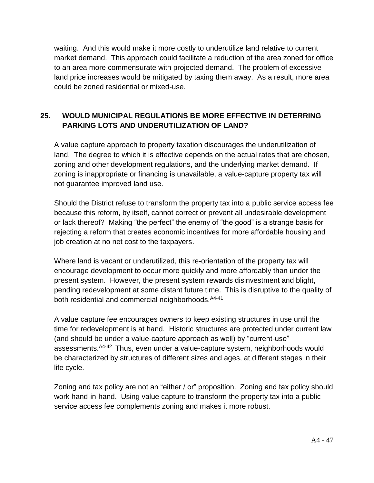waiting. And this would make it more costly to underutilize land relative to current market demand. This approach could facilitate a reduction of the area zoned for office to an area more commensurate with projected demand. The problem of excessive land price increases would be mitigated by taxing them away. As a result, more area could be zoned residential or mixed-use.

#### **25. WOULD MUNICIPAL REGULATIONS BE MORE EFFECTIVE IN DETERRING PARKING LOTS AND UNDERUTILIZATION OF LAND?**

A value capture approach to property taxation discourages the underutilization of land. The degree to which it is effective depends on the actual rates that are chosen, zoning and other development regulations, and the underlying market demand. If zoning is inappropriate or financing is unavailable, a value-capture property tax will not guarantee improved land use.

Should the District refuse to transform the property tax into a public service access fee because this reform, by itself, cannot correct or prevent all undesirable development or lack thereof? Making "the perfect" the enemy of "the good" is a strange basis for rejecting a reform that creates economic incentives for more affordable housing and job creation at no net cost to the taxpayers.

Where land is vacant or underutilized, this re-orientation of the property tax will encourage development to occur more quickly and more affordably than under the present system. However, the present system rewards disinvestment and blight, pending redevelopment at some distant future time. This is disruptive to the quality of both residential and commercial neighborhoods. A4-41

A value capture fee encourages owners to keep existing structures in use until the time for redevelopment is at hand. Historic structures are protected under current law (and should be under a value-capture approach as well) by "current-use" assessments.<sup>A4-42</sup> Thus, even under a value-capture system, neighborhoods would be characterized by structures of different sizes and ages, at different stages in their life cycle.

Zoning and tax policy are not an "either / or" proposition. Zoning and tax policy should work hand-in-hand. Using value capture to transform the property tax into a public service access fee complements zoning and makes it more robust.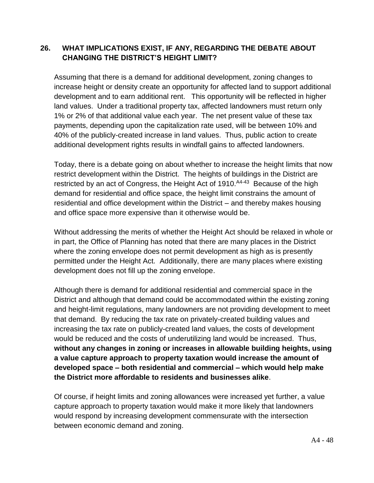#### **26. WHAT IMPLICATIONS EXIST, IF ANY, REGARDING THE DEBATE ABOUT CHANGING THE DISTRICT'S HEIGHT LIMIT?**

Assuming that there is a demand for additional development, zoning changes to increase height or density create an opportunity for affected land to support additional development and to earn additional rent. This opportunity will be reflected in higher land values. Under a traditional property tax, affected landowners must return only 1% or 2% of that additional value each year. The net present value of these tax payments, depending upon the capitalization rate used, will be between 10% and 40% of the publicly-created increase in land values. Thus, public action to create additional development rights results in windfall gains to affected landowners.

Today, there is a debate going on about whether to increase the height limits that now restrict development within the District. The heights of buildings in the District are restricted by an act of Congress, the Height Act of 1910. A4-43 Because of the high demand for residential and office space, the height limit constrains the amount of residential and office development within the District – and thereby makes housing and office space more expensive than it otherwise would be.

Without addressing the merits of whether the Height Act should be relaxed in whole or in part, the Office of Planning has noted that there are many places in the District where the zoning envelope does not permit development as high as is presently permitted under the Height Act. Additionally, there are many places where existing development does not fill up the zoning envelope.

Although there is demand for additional residential and commercial space in the District and although that demand could be accommodated within the existing zoning and height-limit regulations, many landowners are not providing development to meet that demand. By reducing the tax rate on privately-created building values and increasing the tax rate on publicly-created land values, the costs of development would be reduced and the costs of underutilizing land would be increased. Thus, **without any changes in zoning or increases in allowable building heights, using a value capture approach to property taxation would increase the amount of developed space – both residential and commercial – which would help make the District more affordable to residents and businesses alike**.

Of course, if height limits and zoning allowances were increased yet further, a value capture approach to property taxation would make it more likely that landowners would respond by increasing development commensurate with the intersection between economic demand and zoning.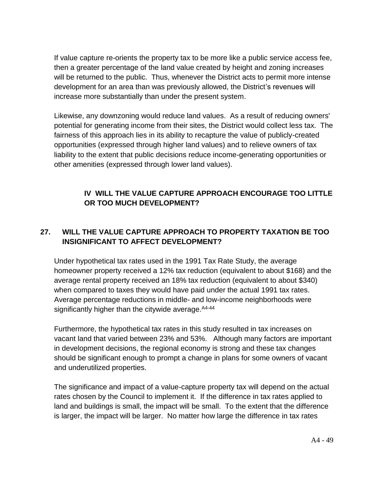If value capture re-orients the property tax to be more like a public service access fee, then a greater percentage of the land value created by height and zoning increases will be returned to the public. Thus, whenever the District acts to permit more intense development for an area than was previously allowed, the District's revenues will increase more substantially than under the present system.

Likewise, any downzoning would reduce land values. As a result of reducing owners' potential for generating income from their sites, the District would collect less tax. The fairness of this approach lies in its ability to recapture the value of publicly-created opportunities (expressed through higher land values) and to relieve owners of tax liability to the extent that public decisions reduce income-generating opportunities or other amenities (expressed through lower land values).

#### **IV WILL THE VALUE CAPTURE APPROACH ENCOURAGE TOO LITTLE OR TOO MUCH DEVELOPMENT?**

#### **27. WILL THE VALUE CAPTURE APPROACH TO PROPERTY TAXATION BE TOO INSIGNIFICANT TO AFFECT DEVELOPMENT?**

Under hypothetical tax rates used in the 1991 Tax Rate Study, the average homeowner property received a 12% tax reduction (equivalent to about \$168) and the average rental property received an 18% tax reduction (equivalent to about \$340) when compared to taxes they would have paid under the actual 1991 tax rates. Average percentage reductions in middle- and low-income neighborhoods were significantly higher than the citywide average. <sup>A4-44</sup>

Furthermore, the hypothetical tax rates in this study resulted in tax increases on vacant land that varied between 23% and 53%. Although many factors are important in development decisions, the regional economy is strong and these tax changes should be significant enough to prompt a change in plans for some owners of vacant and underutilized properties.

The significance and impact of a value-capture property tax will depend on the actual rates chosen by the Council to implement it. If the difference in tax rates applied to land and buildings is small, the impact will be small. To the extent that the difference is larger, the impact will be larger. No matter how large the difference in tax rates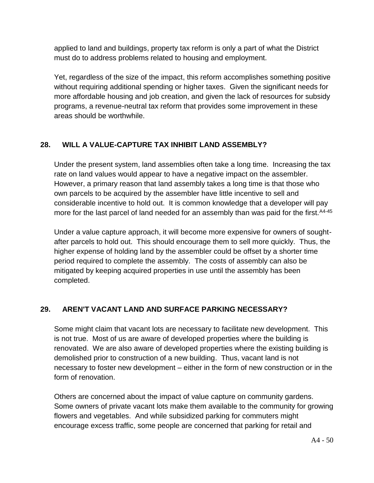applied to land and buildings, property tax reform is only a part of what the District must do to address problems related to housing and employment.

Yet, regardless of the size of the impact, this reform accomplishes something positive without requiring additional spending or higher taxes. Given the significant needs for more affordable housing and job creation, and given the lack of resources for subsidy programs, a revenue-neutral tax reform that provides some improvement in these areas should be worthwhile.

#### **28. WILL A VALUE-CAPTURE TAX INHIBIT LAND ASSEMBLY?**

Under the present system, land assemblies often take a long time. Increasing the tax rate on land values would appear to have a negative impact on the assembler. However, a primary reason that land assembly takes a long time is that those who own parcels to be acquired by the assembler have little incentive to sell and considerable incentive to hold out. It is common knowledge that a developer will pay more for the last parcel of land needed for an assembly than was paid for the first. <sup>A4-45</sup>

Under a value capture approach, it will become more expensive for owners of soughtafter parcels to hold out. This should encourage them to sell more quickly. Thus, the higher expense of holding land by the assembler could be offset by a shorter time period required to complete the assembly. The costs of assembly can also be mitigated by keeping acquired properties in use until the assembly has been completed.

#### **29. AREN'T VACANT LAND AND SURFACE PARKING NECESSARY?**

Some might claim that vacant lots are necessary to facilitate new development. This is not true. Most of us are aware of developed properties where the building is renovated. We are also aware of developed properties where the existing building is demolished prior to construction of a new building. Thus, vacant land is not necessary to foster new development – either in the form of new construction or in the form of renovation.

Others are concerned about the impact of value capture on community gardens. Some owners of private vacant lots make them available to the community for growing flowers and vegetables. And while subsidized parking for commuters might encourage excess traffic, some people are concerned that parking for retail and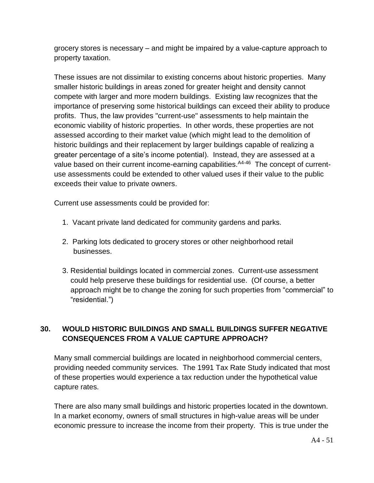grocery stores is necessary – and might be impaired by a value-capture approach to property taxation.

These issues are not dissimilar to existing concerns about historic properties. Many smaller historic buildings in areas zoned for greater height and density cannot compete with larger and more modern buildings. Existing law recognizes that the importance of preserving some historical buildings can exceed their ability to produce profits. Thus, the law provides "current-use" assessments to help maintain the economic viability of historic properties. In other words, these properties are not assessed according to their market value (which might lead to the demolition of historic buildings and their replacement by larger buildings capable of realizing a greater percentage of a site's income potential). Instead, they are assessed at a value based on their current income-earning capabilities. <sup>A4-46</sup> The concept of currentuse assessments could be extended to other valued uses if their value to the public exceeds their value to private owners.

Current use assessments could be provided for:

- 1. Vacant private land dedicated for community gardens and parks.
- 2. Parking lots dedicated to grocery stores or other neighborhood retail businesses.
- 3. Residential buildings located in commercial zones. Current-use assessment could help preserve these buildings for residential use. (Of course, a better approach might be to change the zoning for such properties from "commercial" to "residential.")

#### **30. WOULD HISTORIC BUILDINGS AND SMALL BUILDINGS SUFFER NEGATIVE CONSEQUENCES FROM A VALUE CAPTURE APPROACH?**

Many small commercial buildings are located in neighborhood commercial centers, providing needed community services. The 1991 Tax Rate Study indicated that most of these properties would experience a tax reduction under the hypothetical value capture rates.

There are also many small buildings and historic properties located in the downtown. In a market economy, owners of small structures in high-value areas will be under economic pressure to increase the income from their property. This is true under the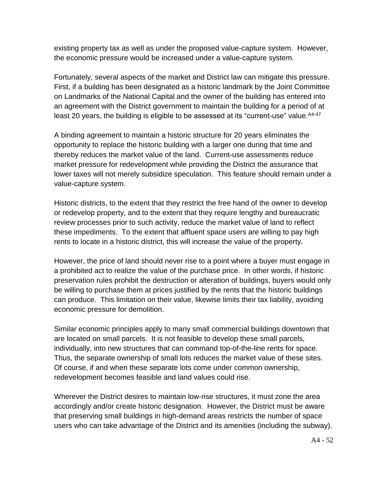existing property tax as well as under the proposed value-capture system. However, the economic pressure would be increased under a value-capture system.

Fortunately, several aspects of the market and District law can mitigate this pressure. First, if a building has been designated as a historic landmark by the Joint Committee on Landmarks of the National Capital and the owner of the building has entered into an agreement with the District government to maintain the building for a period of at least 20 years, the building is eligible to be assessed at its "current-use" value. <sup>A4-47</sup>

A binding agreement to maintain a historic structure for 20 years eliminates the opportunity to replace the historic building with a larger one during that time and thereby reduces the market value of the land. Current-use assessments reduce market pressure for redevelopment while providing the District the assurance that lower taxes will not merely subsidize speculation. This feature should remain under a value-capture system.

Historic districts, to the extent that they restrict the free hand of the owner to develop or redevelop property, and to the extent that they require lengthy and bureaucratic review processes prior to such activity, reduce the market value of land to reflect these impediments. To the extent that affluent space users are willing to pay high rents to locate in a historic district, this will increase the value of the property.

However, the price of land should never rise to a point where a buyer must engage in a prohibited act to realize the value of the purchase price. In other words, if historic preservation rules prohibit the destruction or alteration of buildings, buyers would only be willing to purchase them at prices justified by the rents that the historic buildings can produce. This limitation on their value, likewise limits their tax liability, avoiding economic pressure for demolition.

Similar economic principles apply to many small commercial buildings downtown that are located on small parcels. It is not feasible to develop these small parcels, individually, into new structures that can command top-of-the-line rents for space. Thus, the separate ownership of small lots reduces the market value of these sites. Of course, if and when these separate lots come under common ownership, redevelopment becomes feasible and land values could rise.

Wherever the District desires to maintain low-rise structures, it must zone the area accordingly and/or create historic designation. However, the District must be aware that preserving small buildings in high-demand areas restricts the number of space users who can take advantage of the District and its amenities (including the subway).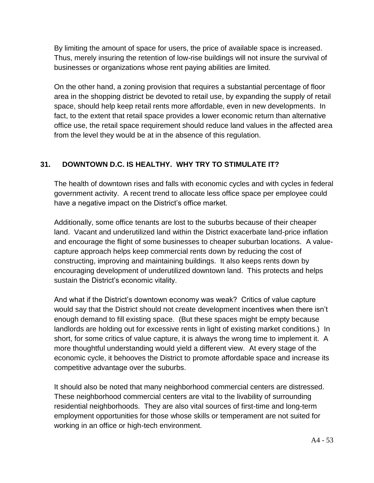By limiting the amount of space for users, the price of available space is increased. Thus, merely insuring the retention of low-rise buildings will not insure the survival of businesses or organizations whose rent paying abilities are limited.

On the other hand, a zoning provision that requires a substantial percentage of floor area in the shopping district be devoted to retail use, by expanding the supply of retail space, should help keep retail rents more affordable, even in new developments. In fact, to the extent that retail space provides a lower economic return than alternative office use, the retail space requirement should reduce land values in the affected area from the level they would be at in the absence of this regulation.

#### **31. DOWNTOWN D.C. IS HEALTHY. WHY TRY TO STIMULATE IT?**

The health of downtown rises and falls with economic cycles and with cycles in federal government activity. A recent trend to allocate less office space per employee could have a negative impact on the District's office market.

Additionally, some office tenants are lost to the suburbs because of their cheaper land. Vacant and underutilized land within the District exacerbate land-price inflation and encourage the flight of some businesses to cheaper suburban locations. A valuecapture approach helps keep commercial rents down by reducing the cost of constructing, improving and maintaining buildings. It also keeps rents down by encouraging development of underutilized downtown land. This protects and helps sustain the District's economic vitality.

And what if the District's downtown economy was weak? Critics of value capture would say that the District should not create development incentives when there isn't enough demand to fill existing space. (But these spaces might be empty because landlords are holding out for excessive rents in light of existing market conditions.) In short, for some critics of value capture, it is always the wrong time to implement it. A more thoughtful understanding would yield a different view. At every stage of the economic cycle, it behooves the District to promote affordable space and increase its competitive advantage over the suburbs.

It should also be noted that many neighborhood commercial centers are distressed. These neighborhood commercial centers are vital to the livability of surrounding residential neighborhoods. They are also vital sources of first-time and long-term employment opportunities for those whose skills or temperament are not suited for working in an office or high-tech environment.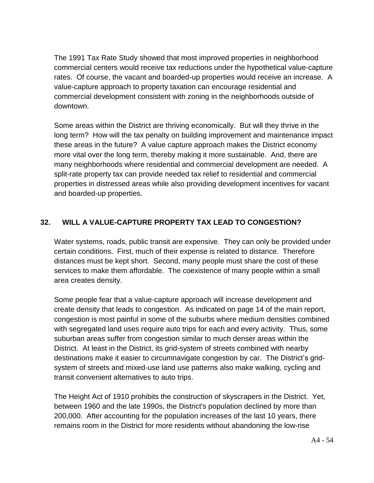The 1991 Tax Rate Study showed that most improved properties in neighborhood commercial centers would receive tax reductions under the hypothetical value-capture rates. Of course, the vacant and boarded-up properties would receive an increase. A value-capture approach to property taxation can encourage residential and commercial development consistent with zoning in the neighborhoods outside of downtown.

Some areas within the District are thriving economically. But will they thrive in the long term? How will the tax penalty on building improvement and maintenance impact these areas in the future? A value capture approach makes the District economy more vital over the long term, thereby making it more sustainable. And, there are many neighborhoods where residential and commercial development are needed. A split-rate property tax can provide needed tax relief to residential and commercial properties in distressed areas while also providing development incentives for vacant and boarded-up properties.

#### **32. WILL A VALUE-CAPTURE PROPERTY TAX LEAD TO CONGESTION?**

Water systems, roads, public transit are expensive. They can only be provided under certain conditions. First, much of their expense is related to distance. Therefore distances must be kept short. Second, many people must share the cost of these services to make them affordable. The coexistence of many people within a small area creates density.

Some people fear that a value-capture approach will increase development and create density that leads to congestion. As indicated on page 14 of the main report, congestion is most painful in some of the suburbs where medium densities combined with segregated land uses require auto trips for each and every activity. Thus, some suburban areas suffer from congestion similar to much denser areas within the District. At least in the District, its grid-system of streets combined with nearby destinations make it easier to circumnavigate congestion by car. The District's gridsystem of streets and mixed-use land use patterns also make walking, cycling and transit convenient alternatives to auto trips.

The Height Act of 1910 prohibits the construction of skyscrapers in the District. Yet, between 1960 and the late 1990s, the District's population declined by more than 200,000. After accounting for the population increases of the last 10 years, there remains room in the District for more residents without abandoning the low-rise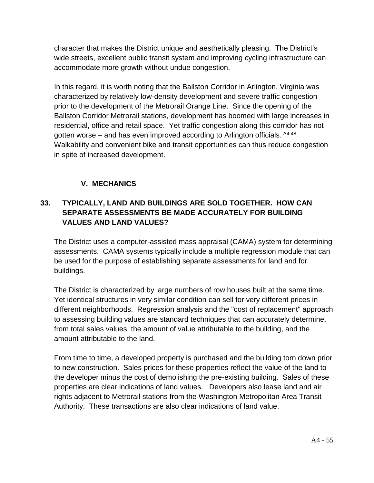character that makes the District unique and aesthetically pleasing. The District's wide streets, excellent public transit system and improving cycling infrastructure can accommodate more growth without undue congestion.

In this regard, it is worth noting that the Ballston Corridor in Arlington, Virginia was characterized by relatively low-density development and severe traffic congestion prior to the development of the Metrorail Orange Line. Since the opening of the Ballston Corridor Metrorail stations, development has boomed with large increases in residential, office and retail space. Yet traffic congestion along this corridor has not gotten worse – and has even improved according to Arlington officials. <sup>A4-48</sup> Walkability and convenient bike and transit opportunities can thus reduce congestion in spite of increased development.

#### **V. MECHANICS**

#### **33. TYPICALLY, LAND AND BUILDINGS ARE SOLD TOGETHER. HOW CAN SEPARATE ASSESSMENTS BE MADE ACCURATELY FOR BUILDING VALUES AND LAND VALUES?**

The District uses a computer-assisted mass appraisal (CAMA) system for determining assessments. CAMA systems typically include a multiple regression module that can be used for the purpose of establishing separate assessments for land and for buildings.

The District is characterized by large numbers of row houses built at the same time. Yet identical structures in very similar condition can sell for very different prices in different neighborhoods. Regression analysis and the "cost of replacement" approach to assessing building values are standard techniques that can accurately determine, from total sales values, the amount of value attributable to the building, and the amount attributable to the land.

From time to time, a developed property is purchased and the building torn down prior to new construction. Sales prices for these properties reflect the value of the land to the developer minus the cost of demolishing the pre-existing building. Sales of these properties are clear indications of land values. Developers also lease land and air rights adjacent to Metrorail stations from the Washington Metropolitan Area Transit Authority. These transactions are also clear indications of land value.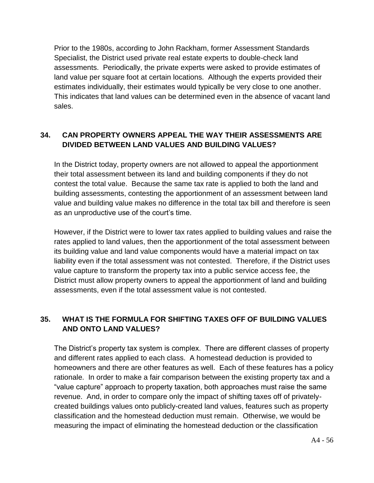Prior to the 1980s, according to John Rackham, former Assessment Standards Specialist, the District used private real estate experts to double-check land assessments. Periodically, the private experts were asked to provide estimates of land value per square foot at certain locations. Although the experts provided their estimates individually, their estimates would typically be very close to one another. This indicates that land values can be determined even in the absence of vacant land sales.

#### **34. CAN PROPERTY OWNERS APPEAL THE WAY THEIR ASSESSMENTS ARE DIVIDED BETWEEN LAND VALUES AND BUILDING VALUES?**

In the District today, property owners are not allowed to appeal the apportionment their total assessment between its land and building components if they do not contest the total value. Because the same tax rate is applied to both the land and building assessments, contesting the apportionment of an assessment between land value and building value makes no difference in the total tax bill and therefore is seen as an unproductive use of the court's time.

However, if the District were to lower tax rates applied to building values and raise the rates applied to land values, then the apportionment of the total assessment between its building value and land value components would have a material impact on tax liability even if the total assessment was not contested. Therefore, if the District uses value capture to transform the property tax into a public service access fee, the District must allow property owners to appeal the apportionment of land and building assessments, even if the total assessment value is not contested.

#### **35. WHAT IS THE FORMULA FOR SHIFTING TAXES OFF OF BUILDING VALUES AND ONTO LAND VALUES?**

The District's property tax system is complex. There are different classes of property and different rates applied to each class. A homestead deduction is provided to homeowners and there are other features as well. Each of these features has a policy rationale. In order to make a fair comparison between the existing property tax and a "value capture" approach to property taxation, both approaches must raise the same revenue. And, in order to compare only the impact of shifting taxes off of privatelycreated buildings values onto publicly-created land values, features such as property classification and the homestead deduction must remain. Otherwise, we would be measuring the impact of eliminating the homestead deduction or the classification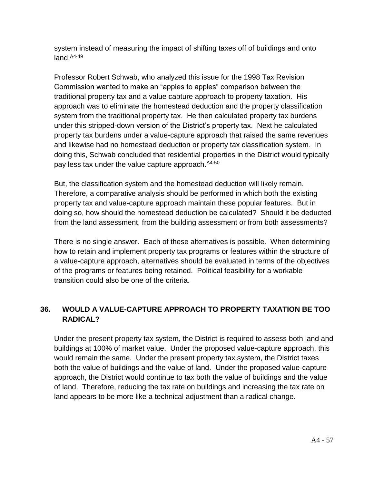system instead of measuring the impact of shifting taxes off of buildings and onto land.<sup>A4-49</sup>

Professor Robert Schwab, who analyzed this issue for the 1998 Tax Revision Commission wanted to make an "apples to apples" comparison between the traditional property tax and a value capture approach to property taxation. His approach was to eliminate the homestead deduction and the property classification system from the traditional property tax. He then calculated property tax burdens under this stripped-down version of the District's property tax. Next he calculated property tax burdens under a value-capture approach that raised the same revenues and likewise had no homestead deduction or property tax classification system. In doing this, Schwab concluded that residential properties in the District would typically pay less tax under the value capture approach. <sup>A4-50</sup>

But, the classification system and the homestead deduction will likely remain. Therefore, a comparative analysis should be performed in which both the existing property tax and value-capture approach maintain these popular features. But in doing so, how should the homestead deduction be calculated? Should it be deducted from the land assessment, from the building assessment or from both assessments?

There is no single answer. Each of these alternatives is possible. When determining how to retain and implement property tax programs or features within the structure of a value-capture approach, alternatives should be evaluated in terms of the objectives of the programs or features being retained. Political feasibility for a workable transition could also be one of the criteria.

#### **36. WOULD A VALUE-CAPTURE APPROACH TO PROPERTY TAXATION BE TOO RADICAL?**

Under the present property tax system, the District is required to assess both land and buildings at 100% of market value. Under the proposed value-capture approach, this would remain the same. Under the present property tax system, the District taxes both the value of buildings and the value of land. Under the proposed value-capture approach, the District would continue to tax both the value of buildings and the value of land. Therefore, reducing the tax rate on buildings and increasing the tax rate on land appears to be more like a technical adjustment than a radical change.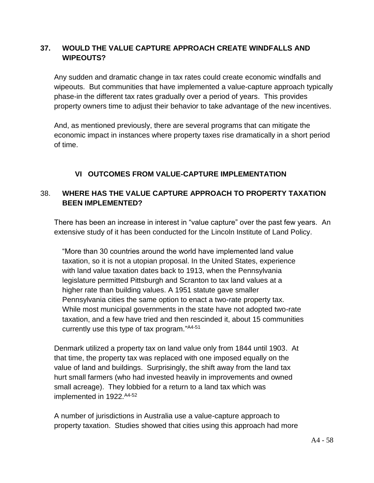#### **37. WOULD THE VALUE CAPTURE APPROACH CREATE WINDFALLS AND WIPEOUTS?**

Any sudden and dramatic change in tax rates could create economic windfalls and wipeouts. But communities that have implemented a value-capture approach typically phase-in the different tax rates gradually over a period of years. This provides property owners time to adjust their behavior to take advantage of the new incentives.

And, as mentioned previously, there are several programs that can mitigate the economic impact in instances where property taxes rise dramatically in a short period of time.

#### **VI OUTCOMES FROM VALUE-CAPTURE IMPLEMENTATION**

#### 38. **WHERE HAS THE VALUE CAPTURE APPROACH TO PROPERTY TAXATION BEEN IMPLEMENTED?**

There has been an increase in interest in "value capture" over the past few years. An extensive study of it has been conducted for the Lincoln Institute of Land Policy.

"More than 30 countries around the world have implemented land value taxation, so it is not a utopian proposal. In the United States, experience with land value taxation dates back to 1913, when the Pennsylvania legislature permitted Pittsburgh and Scranton to tax land values at a higher rate than building values. A 1951 statute gave smaller Pennsylvania cities the same option to enact a two-rate property tax. While most municipal governments in the state have not adopted two-rate taxation, and a few have tried and then rescinded it, about 15 communities currently use this type of tax program." A4-51

Denmark utilized a property tax on land value only from 1844 until 1903. At that time, the property tax was replaced with one imposed equally on the value of land and buildings. Surprisingly, the shift away from the land tax hurt small farmers (who had invested heavily in improvements and owned small acreage). They lobbied for a return to a land tax which was implemented in 1922.A4-52

A number of jurisdictions in Australia use a value-capture approach to property taxation. Studies showed that cities using this approach had more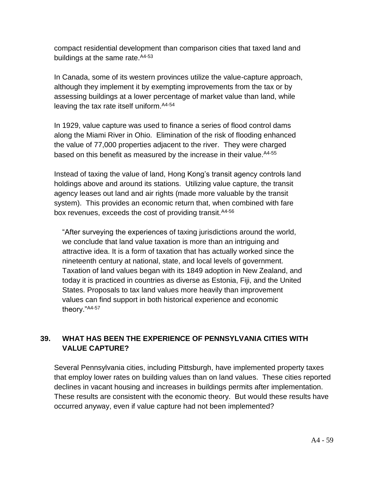compact residential development than comparison cities that taxed land and buildings at the same rate. A4-53

In Canada, some of its western provinces utilize the value-capture approach, although they implement it by exempting improvements from the tax or by assessing buildings at a lower percentage of market value than land, while leaving the tax rate itself uniform. A4-54

In 1929, value capture was used to finance a series of flood control dams along the Miami River in Ohio. Elimination of the risk of flooding enhanced the value of 77,000 properties adjacent to the river. They were charged based on this benefit as measured by the increase in their value. A4-55

Instead of taxing the value of land, Hong Kong's transit agency controls land holdings above and around its stations. Utilizing value capture, the transit agency leases out land and air rights (made more valuable by the transit system). This provides an economic return that, when combined with fare box revenues, exceeds the cost of providing transit. A4-56

"After surveying the experiences of taxing jurisdictions around the world, we conclude that land value taxation is more than an intriguing and attractive idea. It is a form of taxation that has actually worked since the nineteenth century at national, state, and local levels of government. Taxation of land values began with its 1849 adoption in New Zealand, and today it is practiced in countries as diverse as Estonia, Fiji, and the United States. Proposals to tax land values more heavily than improvement values can find support in both historical experience and economic theory."A4-57

#### **39. WHAT HAS BEEN THE EXPERIENCE OF PENNSYLVANIA CITIES WITH VALUE CAPTURE?**

Several Pennsylvania cities, including Pittsburgh, have implemented property taxes that employ lower rates on building values than on land values. These cities reported declines in vacant housing and increases in buildings permits after implementation. These results are consistent with the economic theory. But would these results have occurred anyway, even if value capture had not been implemented?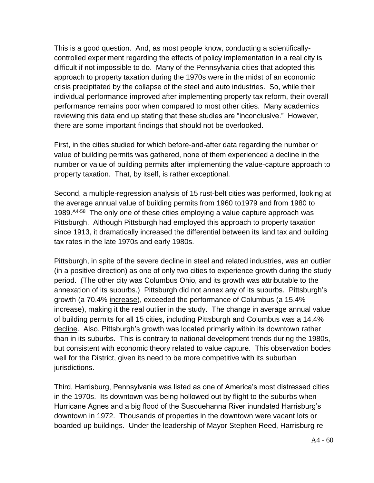This is a good question. And, as most people know, conducting a scientificallycontrolled experiment regarding the effects of policy implementation in a real city is difficult if not impossible to do. Many of the Pennsylvania cities that adopted this approach to property taxation during the 1970s were in the midst of an economic crisis precipitated by the collapse of the steel and auto industries. So, while their individual performance improved after implementing property tax reform, their overall performance remains poor when compared to most other cities. Many academics reviewing this data end up stating that these studies are "inconclusive." However, there are some important findings that should not be overlooked.

First, in the cities studied for which before-and-after data regarding the number or value of building permits was gathered, none of them experienced a decline in the number or value of building permits after implementing the value-capture approach to property taxation. That, by itself, is rather exceptional.

Second, a multiple-regression analysis of 15 rust-belt cities was performed, looking at the average annual value of building permits from 1960 to1979 and from 1980 to 1989. A4-58 The only one of these cities employing a value capture approach was Pittsburgh. Although Pittsburgh had employed this approach to property taxation since 1913, it dramatically increased the differential between its land tax and building tax rates in the late 1970s and early 1980s.

Pittsburgh, in spite of the severe decline in steel and related industries, was an outlier (in a positive direction) as one of only two cities to experience growth during the study period. (The other city was Columbus Ohio, and its growth was attributable to the annexation of its suburbs.) Pittsburgh did not annex any of its suburbs. Pittsburgh's growth (a 70.4% increase), exceeded the performance of Columbus (a 15.4% increase), making it the real outlier in the study. The change in average annual value of building permits for all 15 cities, including Pittsburgh and Columbus was a 14.4% decline. Also, Pittsburgh's growth was located primarily within its downtown rather than in its suburbs. This is contrary to national development trends during the 1980s, but consistent with economic theory related to value capture. This observation bodes well for the District, given its need to be more competitive with its suburban jurisdictions.

Third, Harrisburg, Pennsylvania was listed as one of America's most distressed cities in the 1970s. Its downtown was being hollowed out by flight to the suburbs when Hurricane Agnes and a big flood of the Susquehanna River inundated Harrisburg's downtown in 1972. Thousands of properties in the downtown were vacant lots or boarded-up buildings. Under the leadership of Mayor Stephen Reed, Harrisburg re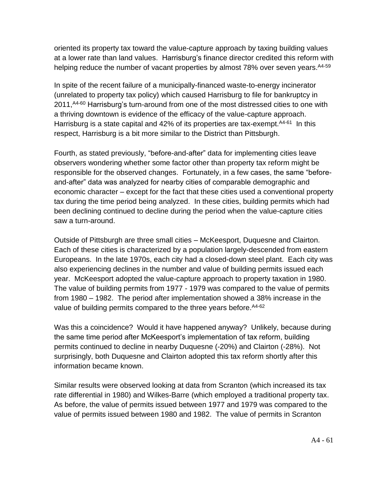oriented its property tax toward the value-capture approach by taxing building values at a lower rate than land values. Harrisburg's finance director credited this reform with helping reduce the number of vacant properties by almost 78% over seven years. <sup>A4-59</sup>

In spite of the recent failure of a municipally-financed waste-to-energy incinerator (unrelated to property tax policy) which caused Harrisburg to file for bankruptcy in 2011,<sup>A4-60</sup> Harrisburg's turn-around from one of the most distressed cities to one with a thriving downtown is evidence of the efficacy of the value-capture approach. Harrisburg is a state capital and 42% of its properties are tax-exempt.<sup>A4-61</sup> In this respect, Harrisburg is a bit more similar to the District than Pittsburgh.

Fourth, as stated previously, "before-and-after" data for implementing cities leave observers wondering whether some factor other than property tax reform might be responsible for the observed changes. Fortunately, in a few cases, the same "beforeand-after" data was analyzed for nearby cities of comparable demographic and economic character – except for the fact that these cities used a conventional property tax during the time period being analyzed. In these cities, building permits which had been declining continued to decline during the period when the value-capture cities saw a turn-around.

Outside of Pittsburgh are three small cities – McKeesport, Duquesne and Clairton. Each of these cities is characterized by a population largely-descended from eastern Europeans. In the late 1970s, each city had a closed-down steel plant. Each city was also experiencing declines in the number and value of building permits issued each year. McKeesport adopted the value-capture approach to property taxation in 1980. The value of building permits from 1977 - 1979 was compared to the value of permits from 1980 – 1982. The period after implementation showed a 38% increase in the value of building permits compared to the three years before. <sup>A4-62</sup>

Was this a coincidence? Would it have happened anyway? Unlikely, because during the same time period after McKeesport's implementation of tax reform, building permits continued to decline in nearby Duquesne (-20%) and Clairton (-28%). Not surprisingly, both Duquesne and Clairton adopted this tax reform shortly after this information became known.

Similar results were observed looking at data from Scranton (which increased its tax rate differential in 1980) and Wilkes-Barre (which employed a traditional property tax. As before, the value of permits issued between 1977 and 1979 was compared to the value of permits issued between 1980 and 1982. The value of permits in Scranton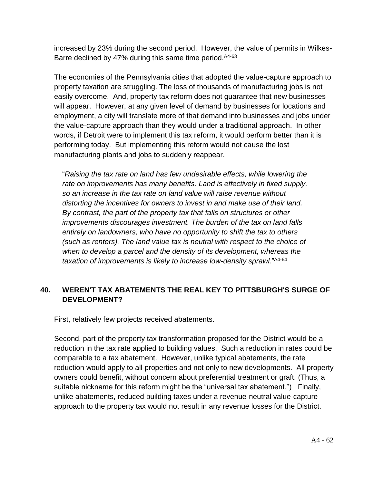increased by 23% during the second period. However, the value of permits in Wilkes-Barre declined by 47% during this same time period. A4-63

The economies of the Pennsylvania cities that adopted the value-capture approach to property taxation are struggling. The loss of thousands of manufacturing jobs is not easily overcome. And, property tax reform does not guarantee that new businesses will appear. However, at any given level of demand by businesses for locations and employment, a city will translate more of that demand into businesses and jobs under the value-capture approach than they would under a traditional approach. In other words, if Detroit were to implement this tax reform, it would perform better than it is performing today. But implementing this reform would not cause the lost manufacturing plants and jobs to suddenly reappear.

"*Raising the tax rate on land has few undesirable effects, while lowering the rate on improvements has many benefits. Land is effectively in fixed supply, so an increase in the tax rate on land value will raise revenue without distorting the incentives for owners to invest in and make use of their land. By contrast, the part of the property tax that falls on structures or other improvements discourages investment. The burden of the tax on land falls entirely on landowners, who have no opportunity to shift the tax to others (such as renters). The land value tax is neutral with respect to the choice of when to develop a parcel and the density of its development, whereas the taxation of improvements is likely to increase low-density sprawl*."A4-64

#### **40. WEREN'T TAX ABATEMENTS THE REAL KEY TO PITTSBURGH'S SURGE OF DEVELOPMENT?**

First, relatively few projects received abatements.

Second, part of the property tax transformation proposed for the District would be a reduction in the tax rate applied to building values. Such a reduction in rates could be comparable to a tax abatement. However, unlike typical abatements, the rate reduction would apply to all properties and not only to new developments. All property owners could benefit, without concern about preferential treatment or graft. (Thus, a suitable nickname for this reform might be the "universal tax abatement.") Finally, unlike abatements, reduced building taxes under a revenue-neutral value-capture approach to the property tax would not result in any revenue losses for the District.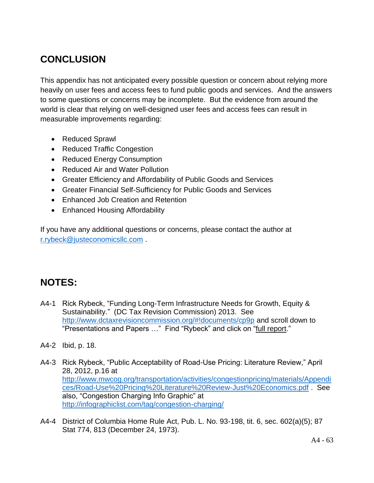### **CONCLUSION**

This appendix has not anticipated every possible question or concern about relying more heavily on user fees and access fees to fund public goods and services. And the answers to some questions or concerns may be incomplete. But the evidence from around the world is clear that relying on well-designed user fees and access fees can result in measurable improvements regarding:

- Reduced Sprawl
- Reduced Traffic Congestion
- Reduced Energy Consumption
- Reduced Air and Water Pollution
- Greater Efficiency and Affordability of Public Goods and Services
- Greater Financial Self-Sufficiency for Public Goods and Services
- Enhanced Job Creation and Retention
- Enhanced Housing Affordability

If you have any additional questions or concerns, please contact the author at [r.rybeck@justeconomicsllc.com](mailto:r.rybeck@justeconomicsllc.com) .

### **NOTES:**

- A4-1 Rick Rybeck, "Funding Long-Term Infrastructure Needs for Growth, Equity & Sustainability." (DC Tax Revision Commission) 2013. See <http://www.dctaxrevisioncommission.org/#!documents/cp9p> and scroll down to "Presentations and Papers ..." Find "Rybeck" and click on "full report."
- A4-2 Ibid, p. 18.
- A4-3 Rick Rybeck, "Public Acceptability of Road-Use Pricing: Literature Review," April 28, 2012, p.16 at [http://www.mwcog.org/transportation/activities/congestionpricing/materials/Appendi](http://www.mwcog.org/transportation/activities/congestionpricing/materials/Appendices/Road-Use%20Pricing%20Literature%20Review-Just%20Economics.pdf) [ces/Road-Use%20Pricing%20Literature%20Review-Just%20Economics.pdf](http://www.mwcog.org/transportation/activities/congestionpricing/materials/Appendices/Road-Use%20Pricing%20Literature%20Review-Just%20Economics.pdf) . See also, "Congestion Charging Info Graphic" at <http://infographiclist.com/tag/congestion-charging/>
- A4-4 District of Columbia Home Rule Act, Pub. L. No. 93-198, tit. 6, sec. 602(a)(5); 87 Stat 774, 813 (December 24, 1973).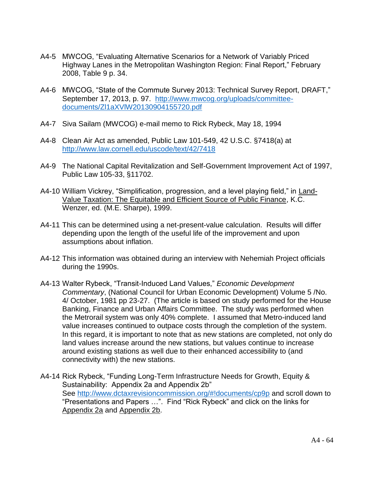- A4-5 MWCOG, "Evaluating Alternative Scenarios for a Network of Variably Priced Highway Lanes in the Metropolitan Washington Region: Final Report," February 2008, Table 9 p. 34.
- A4-6 MWCOG, "State of the Commute Survey 2013: Technical Survey Report, DRAFT," September 17, 2013, p. 97. [http://www.mwcog.org/uploads/committee](http://www.mwcog.org/uploads/committee-documents/Zl1aXVlW20130904155720.pdf)[documents/Zl1aXVlW20130904155720.pdf](http://www.mwcog.org/uploads/committee-documents/Zl1aXVlW20130904155720.pdf)
- A4-7 Siva Sailam (MWCOG) e-mail memo to Rick Rybeck, May 18, 1994
- A4-8 Clean Air Act as amended, Public Law 101-549, 42 U.S.C. §7418(a) at <http://www.law.cornell.edu/uscode/text/42/7418>
- A4-9 The National Capital Revitalization and Self-Government Improvement Act of 1997, Public Law 105-33, §11702.
- A4-10 William Vickrey, "Simplification, progression, and a level playing field," in Land-Value Taxation: The Equitable and Efficient Source of Public Finance, K.C. Wenzer, ed. (M.E. Sharpe), 1999.
- A4-11 This can be determined using a net-present-value calculation. Results will differ depending upon the length of the useful life of the improvement and upon assumptions about inflation.
- A4-12 This information was obtained during an interview with Nehemiah Project officials during the 1990s.
- A4-13 Walter Rybeck, "Transit-Induced Land Values," *Economic Development Commentary*, (National Council for Urban Economic Development) Volume 5 /No. 4/ October, 1981 pp 23-27. (The article is based on study performed for the House Banking, Finance and Urban Affairs Committee. The study was performed when the Metrorail system was only 40% complete. I assumed that Metro-induced land value increases continued to outpace costs through the completion of the system. In this regard, it is important to note that as new stations are completed, not only do land values increase around the new stations, but values continue to increase around existing stations as well due to their enhanced accessibility to (and connectivity with) the new stations.
- A4-14 Rick Rybeck, "Funding Long-Term Infrastructure Needs for Growth, Equity & Sustainability: Appendix 2a and Appendix 2b" See<http://www.dctaxrevisioncommission.org/#!documents/cp9p> and scroll down to "Presentations and Papers …". Find "Rick Rybeck" and click on the links for Appendix 2a and Appendix 2b.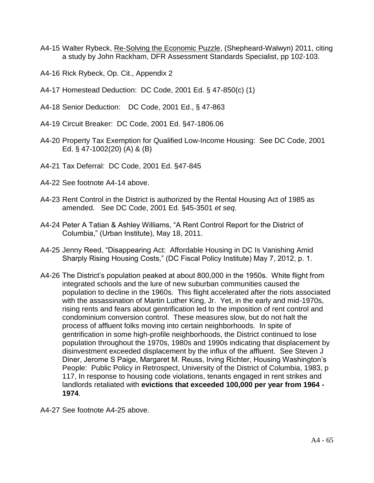- A4-15 Walter Rybeck, Re-Solving the Economic Puzzle, (Shepheard-Walwyn) 2011, citing a study by John Rackham, DFR Assessment Standards Specialist, pp 102-103.
- A4-16 Rick Rybeck, Op. Cit., Appendix 2
- A4-17 Homestead Deduction: DC Code, 2001 Ed. § 47-850(c) (1)
- A4-18 Senior Deduction: DC Code, 2001 Ed., § 47-863
- A4-19 Circuit Breaker: DC Code, 2001 Ed. §47-1806.06
- A4-20 Property Tax Exemption for Qualified Low-Income Housing: See DC Code, 2001 Ed. § 47-1002(20) (A) & (B)
- A4-21 Tax Deferral: DC Code, 2001 Ed. §47-845
- A4-22 See footnote A4-14 above.
- A4-23 Rent Control in the District is authorized by the Rental Housing Act of 1985 as amended. See DC Code, 2001 Ed. §45-3501 *et seq*.
- A4-24 Peter A Tatian & Ashley Williams, "A Rent Control Report for the District of Columbia," (Urban Institute), May 18, 2011.
- A4-25 Jenny Reed, "Disappearing Act: Affordable Housing in DC Is Vanishing Amid Sharply Rising Housing Costs," (DC Fiscal Policy Institute) May 7, 2012, p. 1.
- A4-26 The District's population peaked at about 800,000 in the 1950s. White flight from integrated schools and the lure of new suburban communities caused the population to decline in the 1960s. This flight accelerated after the riots associated with the assassination of Martin Luther King, Jr. Yet, in the early and mid-1970s, rising rents and fears about gentrification led to the imposition of rent control and condominium conversion control. These measures slow, but do not halt the process of affluent folks moving into certain neighborhoods. In spite of gentrification in some high-profile neighborhoods, the District continued to lose population throughout the 1970s, 1980s and 1990s indicating that displacement by disinvestment exceeded displacement by the influx of the affluent. See Steven J Diner, Jerome S Paige, Margaret M. Reuss, Irving Richter, Housing Washington's People: Public Policy in Retrospect, University of the District of Columbia, 1983, p 117, In response to housing code violations, tenants engaged in rent strikes and landlords retaliated with **evictions that exceeded 100,000 per year from 1964 - 1974**.
- A4-27 See footnote A4-25 above.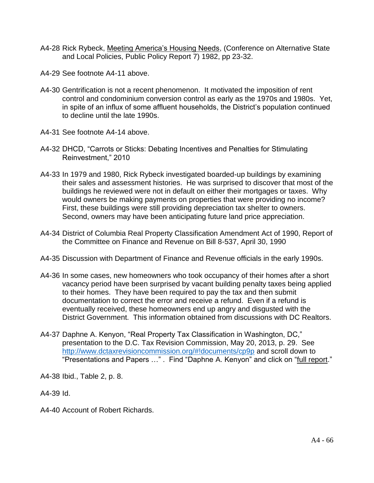- A4-28 Rick Rybeck, Meeting America's Housing Needs, (Conference on Alternative State and Local Policies, Public Policy Report 7) 1982, pp 23-32.
- A4-29 See footnote A4-11 above.
- A4-30 Gentrification is not a recent phenomenon. It motivated the imposition of rent control and condominium conversion control as early as the 1970s and 1980s. Yet, in spite of an influx of some affluent households, the District's population continued to decline until the late 1990s.
- A4-31 See footnote A4-14 above.
- A4-32 DHCD, "Carrots or Sticks: Debating Incentives and Penalties for Stimulating Reinvestment," 2010
- A4-33 In 1979 and 1980, Rick Rybeck investigated boarded-up buildings by examining their sales and assessment histories. He was surprised to discover that most of the buildings he reviewed were not in default on either their mortgages or taxes. Why would owners be making payments on properties that were providing no income? First, these buildings were still providing depreciation tax shelter to owners. Second, owners may have been anticipating future land price appreciation.
- A4-34 District of Columbia Real Property Classification Amendment Act of 1990, Report of the Committee on Finance and Revenue on Bill 8-537, April 30, 1990
- A4-35 Discussion with Department of Finance and Revenue officials in the early 1990s.
- A4-36 In some cases, new homeowners who took occupancy of their homes after a short vacancy period have been surprised by vacant building penalty taxes being applied to their homes. They have been required to pay the tax and then submit documentation to correct the error and receive a refund. Even if a refund is eventually received, these homeowners end up angry and disgusted with the District Government. This information obtained from discussions with DC Realtors.
- A4-37 Daphne A. Kenyon, "Real Property Tax Classification in Washington, DC," presentation to the D.C. Tax Revision Commission, May 20, 2013, p. 29. See <http://www.dctaxrevisioncommission.org/#!documents/cp9p> and scroll down to "Presentations and Papers …" . Find "Daphne A. Kenyon" and click on "full report."
- A4-38 Ibid., Table 2, p. 8.
- A4-39 Id.
- A4-40 Account of Robert Richards.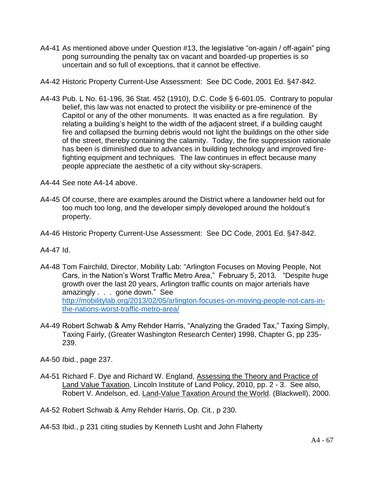A4-41 As mentioned above under Question #13, the legislative "on-again / off-again" ping pong surrounding the penalty tax on vacant and boarded-up properties is so uncertain and so full of exceptions, that it cannot be effective.

A4-42 Historic Property Current-Use Assessment: See DC Code, 2001 Ed. §47-842.

A4-43 Pub. L No. 61-196, 36 Stat. 452 (1910), D.C. Code § 6-601.05. Contrary to popular belief, this law was not enacted to protect the visibility or pre-eminence of the Capitol or any of the other monuments. It was enacted as a fire regulation. By relating a building's height to the width of the adjacent street, if a building caught fire and collapsed the burning debris would not light the buildings on the other side of the street, thereby containing the calamity. Today, the fire suppression rationale has been is diminished due to advances in building technology and improved firefighting equipment and techniques. The law continues in effect because many people appreciate the aesthetic of a city without sky-scrapers.

A4-44 See note A4-14 above.

- A4-45 Of course, there are examples around the District where a landowner held out for too much too long, and the developer simply developed around the holdout's property.
- A4-46 Historic Property Current-Use Assessment: See DC Code, 2001 Ed. §47-842.

A4-47 Id.

- A4-48 Tom Fairchild, Director, Mobility Lab: "Arlington Focuses on Moving People, Not Cars, in the Nation's Worst Traffic Metro Area," February 5, 2013. "Despite huge growth over the last 20 years, Arlington traffic counts on major arterials have amazingly . . . gone down." See [http://mobilitylab.org/2013/02/05/arlington-focuses-on-moving-people-not-cars-in](http://mobilitylab.org/2013/02/05/arlington-focuses-on-moving-people-not-cars-in-the-nations-worst-traffic-metro-area/)[the-nations-worst-traffic-metro-area/](http://mobilitylab.org/2013/02/05/arlington-focuses-on-moving-people-not-cars-in-the-nations-worst-traffic-metro-area/)
- A4-49 Robert Schwab & Amy Rehder Harris, "Analyzing the Graded Tax," Taxing Simply, Taxing Fairly, (Greater Washington Research Center) 1998, Chapter G, pp 235- 239.
- A4-50 Ibid., page 237.
- A4-51 Richard F. Dye and Richard W. England, Assessing the Theory and Practice of Land Value Taxation, Lincoln Institute of Land Policy, 2010, pp. 2 - 3. See also, Robert V. Andelson, ed. Land-Value Taxation Around the World. (Blackwell), 2000.
- A4-52 Robert Schwab & Amy Rehder Harris, Op. Cit., p 230.
- A4-53 Ibid., p 231 citing studies by Kenneth Lusht and John Flaherty